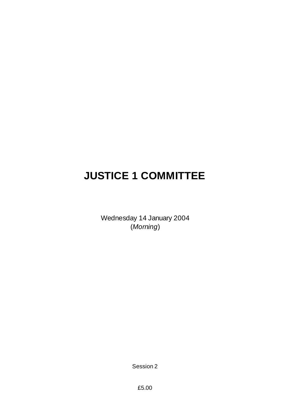# **JUSTICE 1 COMMITTEE**

Wednesday 14 January 2004 (*Morning*)

Session 2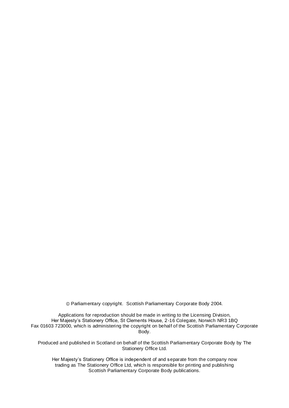Parliamentary copyright. Scottish Parliamentary Corporate Body 2004.

Applications for reproduction should be made in writing to the Licensing Division, Her Majesty's Stationery Office, St Clements House, 2-16 Colegate, Norwich NR3 1BQ Fax 01603 723000, which is administering the copyright on behalf of the Scottish Parliamentary Corporate Body.

Produced and published in Scotland on behalf of the Scottish Parliamentary Corporate Body by The Stationery Office Ltd.

Her Majesty's Stationery Office is independent of and separate from the company now trading as The Stationery Office Ltd, which is responsible for printing and publishing Scottish Parliamentary Corporate Body publications.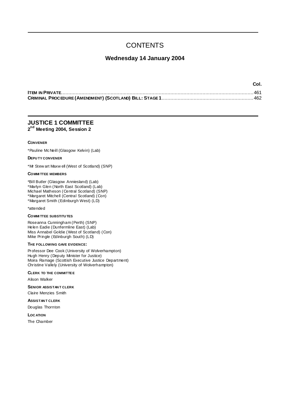# **CONTENTS**

# **Wednesday 14 January 2004**

| Col. |
|------|
|      |
|      |

# **JUSTICE 1 COMMITTEE 2 nd Meeting 2004, Session 2**

#### **CONVENER**

\*Pauline McNeill (Glasgow Kelvin) (Lab)

## **DEPU TY CONVENER**

\*Mr Stew art Maxw ell (West of Scotland) (SNP)

#### **COMMI TTEE MEMBERS**

\*Bill Butler (Glasgow Anniesland) (Lab) \*Marlyn Glen (North East Scotland) (Lab) Michael Matheson (Central Scotland) (SNP) \*Margaret Mitchell (Central Scotland) (Con) \*Margaret Smith (Edinburgh West) (LD)

#### \*attended

#### **COMMI TTEE SUBSTITU TES**

Roseanna Cunningham (Perth) (SNP) Helen Eadie (Dunfermline East) (Lab) Miss Annabel Goldie (West of Scotland) (Con) Mike Pringle (Edinburgh South) (LD)

#### **THE FOLLOWING GAVE EVIDENCE:**

Professor Dee Cook (University of Wolverhampton) Hugh Henry (Deputy Minister for Justice) Moira Ramage (Scottish Executive Justice Department) Christine Vallely (University of Wolverhampton)

## **CLERK TO THE COMMITTEE**

Alison Walker

#### **SENIOR ASSISTAN T CLERK**

Claire Menzies Smith

# **ASSISTAN T CLERK**

Douglas Thornton

#### **LOC ATION**

The Chamber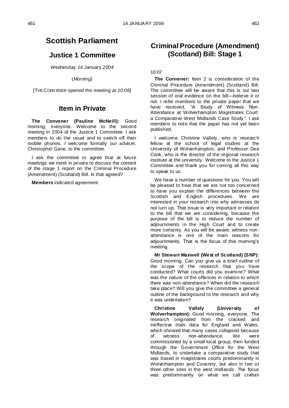# **Scottish Parliament**

# **Justice 1 Committee**

*Wednesday 14 January 2004*

(*Morning*)

[THE CONV ENER *opened the meeting at 10:06*]

# **Item in Private**

**The Convener (Pauline McNeill):** Good morning, everyone. Welcome to the second meeting in 2004 of the Justice 1 Committee. I ask members to do the usual and to switch off their mobile phones. I welc ome formally our adviser, Christopher Gane, to the committee.

I ask the committee to agree that at future meetings we meet in private to discuss the content of the stage 1 report on the Criminal Procedure (Amendment) (Scotland) Bill. Is that agreed?

**Members** *indicated agreement*.

# **Criminal Procedure (Amendment) (Scotland) Bill: Stage 1**

# 10:07

**The Convener:** Item 2 is consideration of the Criminal Procedure (Amendment) (Scotland) Bill. The committee will be aware that this is our last session of oral evidence on the bill—believe it or not. I refer members to the private paper that we have received, "A Study of Witness Non-Attendance at Wolverhampton Magistrates Court: a Comparative West Midlands Case Study ". I ask members to note that the paper has not yet been published.

I welcome Christine Vallely, who is research fellow at the school of legal studies at the University of Wolverhampton, and Professor Dee Cook, who is the director of the regional research institute at the university. Welcome to the Justice 1 Committee and thank you for coming all this way to speak to us.

We have a number of questions for you. You will be pleased to hear that we are not too concerned to have you explain the differences between the Scottish and English procedures. We are interested in your research into why witnesses do not turn up. That issue is very important in relation to the bill that we are considering, because the purpose of the bill is to reduce the number of adjournments in the High Court and to create more certainty. As you will be aware, witness nonattendance is one of the main reasons for adjournments. That is the focus of this morning's meeting.

**Mr Stewart Maxwell (West of Scotland) (SNP):**  Good morning. Can you give us a brief outline of the scope of the research that you have conducted? What courts did you examine? What was the nature of the offences in relation to which there was non-attendance? When did the research take place? Will you give the committee a general outline of the background to the research and why it was undertaken?

**Christine Vallely (University of Wolverhampton):** Good morning, everyone. The research originated from the cracked and ineffective trials data for England and Wales, which showed that many cases collapsed because of witness non-attendance. We were commissioned by a small local group, then funded through the Government Office for the West Midlands, to undertake a comparative study that was based in magistrates courts predominantly in Wolverhampton and Coventry, but also in two or three other sites in the west midlands. The focus was predominantly on what we call civilian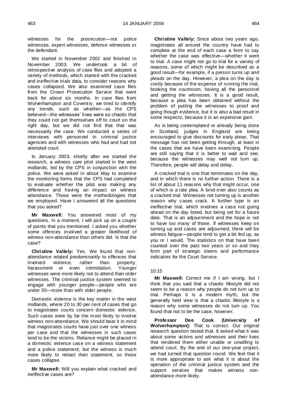witnesses for the prosecution—not police witnesses, expert witnesses, defence witnesses or the defendant.

We started in November 2002 and finished in November 2003. We undertook a bit of retrospective analysis of case files and adopted a variety of methods, which started with the cracked and ineffective trials data, to consider reasons why cases collapsed. We also examined case files from the Crown Prosecution Service that went back for about six months. In case files from Wolverhampton and Coventry, we tried to identify any trends, such as whether—as the CPS believed—the witnesses' lives were so chaotic that they could not get themselves off to court on the right day, but we did not find that that was necessarily the case. We conducted a series of interviews with personnel in criminal justice agencies and with witnesses who had and had not attended court.

In January 2003, shortly after we started the research, a witness care pilot started in the west midlands, led by the CPS in conjunction with the police. We were asked in about May to examine the monitoring forms that the CPS had completed to evaluate whether the pilot was making any difference and having an impact on witness attendance. Those were the methodologies that we employed. Have I answered all the questions that you asked?

**Mr Maxwell:** You answered most of my questions. In a moment, I will pick up on a couple of points that you mentioned. I asked you whether some offences involved a greater likelihood of witness non-attendance than others did. Is that the case?

**Christine Vallely:** Yes. We found that nonattendance related predominantly to offences that involved violence, rather than property, harassment or even intimidation. Younger witnesses were more likely not to attend than older witnesses. The criminal justice system seemed to engage with younger people—people who are under 30—more than with older people.

Domestic violence is the key matter in the west midlands, where 20 to 30 per cent of cases that go to magistrates courts concern domestic violence. Such cases were by far the most likely to involve witness non-attendance. We should bear it in mind that magistrates courts have just over one witness per case and that the witnesses in such cases tend to be the victims. Reliance might be placed in a domestic violence case on a witness statement and a police statement, but the witness is much more likely to retract their statement, so those cases collapse.

**Mr Maxwell:** Will you explain what cracked and ineffective cases are?

**Christine Vallely:** Since about two years ago, magistrates all around the country have had to complete at the end of each case a form to say whether the case was effective—whether it went to trial. A case might not go to trial for a variety of reasons, some of which might be described as a good result—for example, if a person turns up and pleads on the day. However, a plea on the day is costly because of the expense of running the trial, booking the courtroom, having all the personnel and getting the witnesses. It is a good result, because a plea has been obtained without the problem of putting the witnesses to proof and going though evidence, but it is also a bad result in some respects, because it is an expensive gain.

As is being contemplated or already being done in Scotland, judges in England are being encouraged to give discounts for early pleas. That message has not been getting through, at least in the cases that we have been examining. People are still saying that it is better to wait and see, because the witnesses may well not turn up. Therefore, people will delay and delay.

A cracked trial is one that terminates on the day, and in which there is no further action. There is a list of about 11 reasons why that might occur, one of which is a late plea. A bind-over also counts as a cracked trial. Witnesses not turning up is another reason why cases crack. A further type is an ineffective trial, which involves a case not going ahead on the day listed, but being set for a future date. That is an adjournment and the hope is not to have too many of those. If witnesses keep on turning up and cases are adjourned, there will be witness fatigue—people tend to get a bit fed up, as you or I would. The statistics on that have been counted over the past two years or so and they form part of strategic steers and performance indicators for the Court Service.

## $10:15$

**Mr Maxwell:** Correct me if I am wrong, but I think that you said that a chaotic lifestyle did not seem to be a reason why people do not turn up to trial. Perhaps it is a modern myth, but the generally held view is that a chaotic lifestyle is a reason why some witnesses do not turn up. You found that not to be the case, however.

**Professor Dee Cook (University of Wolverhampton):** That is correct. Our original research question tested that. It asked what it was about some victims and witnesses and their lives that rendered them either unable or unwilling to attend court. By the end of our one-year project, we had turned that question round. We feel that it is more appropriate to ask what it is about the operation of the criminal justice system and the support services that makes witness nonattendance more likely.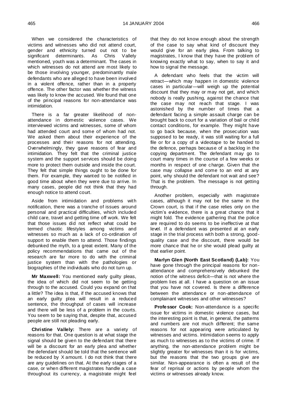When we considered the characteristics of victims and witnesses who did not attend court, gender and ethnicity turned out not to be significant determinants. As Chris Vallely mentioned, youth was a determinant. The cases in which witnesses do not attend are most likely to be those involving younger, predominantly male defendants who are alleged to have been involved in a violent offence, rather than in a property offence. The other factor was whether the witness was likely to know the accused. We found that one of the principal reasons for non-attendance was intimidation.

There is a far greater likelihood of nonattendance in domestic violence cases. We interviewed victims and witnesses, some of whom had attended court and some of whom had not. We asked them about their experience of the processes and their reasons for not attending. Overwhelmingly, they gave reasons of fear and intimidation. They felt that the criminal justice system and the support services should be doing more to protect them outside and inside the court. They felt that simple things ought to be done for them. For example, they wanted to be notified in good time about when they were due to arrive. In many cases, people did not think that they had enough notice to attend court.

Aside from intimidation and problems with notification, there was a tranche of issues around personal and practical difficulties, which included child care, travel and getting time off work. We felt that those issues did not reflect what could be termed chaotic lifestyles among victims and witnesses so much as a lack of co-ordination of support to enable them to attend. Those findings debunked the myth, to a great extent. Many of the policy recommendations that came out of the research are far more to do with the criminal justice system than with the pathologies or biographies of the individuals who do not turn up.

**Mr Maxwell:** You mentioned early guilty pleas, the idea of which did not seem to be getting through to the accused. Could you expand on that a little? The idea is that, if the accused knows that an early guilty plea will result in a reduced sentence, the throughput of cases will increase and there will be less of a problem in the courts. You seem to be saying that, despite that, accused people are still not pleading early.

**Christine Vallely:** There are a variety of reasons for that. One question is at what stage the signal should be given to the defendant that there will be a discount for an early plea and whether the defendant should be told that the sentence will be reduced by X amount. I do not think that there are any guidelines on that. At the early stages of a case, or when different magistrates handle a case throughout its currency, a magistrate might feel

that they do not know enough about the strength of the case to say what kind of discount they would give for an early plea. From talking to magistrates, I know that they have the problem of knowing exactly what to say, when to say it and how to signal the message.

A defendant who feels that the victim will retract—which may happen in domestic violence cases in particular—will weigh up the potential discount that they may or may not get, and which nobody is really pushing, against the chance that the case may not reach that stage. I was astonished by the number of times that a defendant facing a simple assault charge can be brought back to court for a variation of bail or child contact conditions, for example. They might have to go back because, when the prosecution was supposed to be ready, it was still waiting for a full file or for a copy of a videotape to be handed to the defence, perhaps because of a backlog in the copying department. The defendant may go to court many times in the course of a few weeks or months in respect of one charge. Given that the case may collapse and come to an end at any point, why should the defendant not wait and see? That is the problem. The message is not getting through.

Another problem, especially with magistrate cases, although it may not be the same in the Crown court, is that if the case relies only on the victim's evidence, there is a great chance that it might fold. The evidence gathering that the police are required to do seems to be ineffective at that level. If a defendant was presented at an early stage in the trial process with both a strong, goodquality case and the discount, there would be more chance that he or she would plead guilty at that earlier point.

**Marlyn Glen (North East Scotland) (Lab):** You have gone through the principal reasons for nonattendance and comprehensively debunked the notion of the witness deficit—that is not where the problem lies at all. I have a question on an issue that you have not covered. Is there a difference between the attendance or non-attendance of complainant witnesses and other witnesses?

**Professor Cook:** Non-attendance is a specific issue for victims in domestic violence cases, but the interesting point is that, in general, the patterns and numbers are not much different; the same reasons for not appearing were articulated by witnesses and victims. Intimidation seems to apply as much to witnesses as to the victims of crime. If anything, the non-attendance problem might be slightly greater for witnesses than it is for victims, but the reasons that the two groups give are similar. Non-appearance is often a result of the fear of reprisal or actions by people whom the victims or witnesses already know.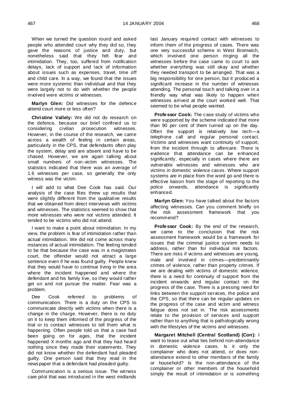When we turned the question round and asked people who attended court why they did so, they gave the reasons of justice and duty, but nonetheless said that they felt fear and intimidation. They, too, suffered from notification delays, lack of support and lack of information about issues such as expenses, travel, time off and child care. In a way, we found that the issues were more systemic than individual and that they were largely not to do with whether the people involved were victims or witnesses.

**Marlyn Glen:** Did witnesses for the defence attend court more or less often?

**Christine Vallely:** We did not do research on the defence, because our brief confined us to considering civilian prosecution witnesses. considering civilian prosecution However, in the course of the research, we came across a wealth of feeling in certain areas, particularly in the CPS, that defendants often play the system, delay and are absent and have to be chased. However, we are again talking about small numbers of non-victim witnesses. The statistics indicated that there was an average of 1.6 witnesses per case, so generally the only witness was the victim.

I will add to what Dee Cook has said. Our analysis of the case files threw up results that were slightly different from the qualitative results that we obtained from direct interviews with victims and witnesses. The statistics seemed to show that more witnesses who were not victims attended. It tended to be victims who did not attend.

I want to make a point about intimidation. In my view, the problem is fear of intimidation rather than actual intimidation. We did not come across many instances of actual intimidation. The feeling tended to be that because the case was in a magistrates court, the offender would not attract a large sentence even if he was found guilty. People knew that they would have to continue living in the area where the incident happened and where the defendant and his family live, so they would rather get on and not pursue the matter. Fear was a problem.

Dee Cook referred to problems of communication. There is a duty on the CPS to communicate directly with victims when there is a change in the charge. However, there is no duty on it to keep them informed of the progress of the trial or to contact witnesses to tell them what is happening. Often people told us that a case had been going on for ages, that the incident happened X months ago and that they had heard nothing since they made their statements. They did not know whether the defendant had pleaded guilty. One person said that they read in the newspaper that a defendant had pleaded guilty.

Communication is a serious issue. The witness care pilot that was introduced in the west midlands last January required contact with witnesses to inform them of the progress of cases. There was one very successful scheme in West Bromwich, which involved one person ringing all the witnesses before the case came to court to ask whether everything was still okay and whether they needed transport to be arranged. That was a big responsibility for one person, but it produced a significant increase in the number of witnesses attending. The personal touch and talking over in a friendly way what was likely to happen when witnesses arrived at the court worked well. That seemed to be what people wanted.

**Professor Cook:** The case study of victims who were supported by the scheme indicated that more than 90 per cent of them turned up on the day. Often the support is relatively low tech—a telephone call and regular personal contact. Victims and witnesses want continuity of support, from the incident through to aftercare. There is evidence that attendance can be enhanced significantly, especially in cases where there are vulnerable witnesses and witnesses who are victims in domestic violence cases. Where support systems are in place from the word go and there is effective liaison from the stage of reporting to the police onwards, attendance is significantly enhanced.

**Marlyn Glen:** You have talked about the factors affecting witnesses. Can you comment briefly on the risk assessment framework that you recommend?

**Professor Cook:** By the end of the research, we came to the conclusion that the risk assessment framework would be a framework for issues that the criminal justice system needs to address, rather than for individual risk factors. There are risks if victims and witnesses are young, male and involved in crimes—predominantly crimes of violence, rather than property crimes. If we are dealing with victims of domestic violence, there is a need for continuity of support from the incident onwards and regular contact on the progress of the case. There is a pressing need for links between the support services, the police and the CPS, so that there can be regular updates on the progress of the case and victim and witness fatigue does not set in. The risk assessments relate to the provision of services and support rather than to anything that is pathologically wrong with the lifestyles of the victims and witnesses.

**Margaret Mitchell (Central Scotland) (Con):** I want to tease out what lies behind non-attendance in domestic violence cases. Is it only the complainer who does not attend, or does nonattendance extend to other members of the family or household? Is the non-attendance of the complainer or other members of the household simply the result of intimidation or is something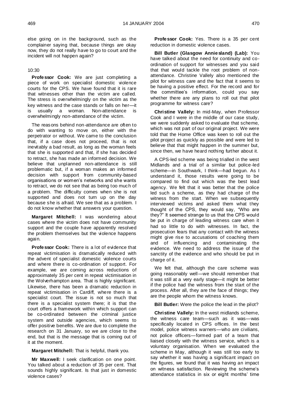else going on in the background, such as the complainer saying that, because things are okay now, they do not really have to go to court and the incident will not happen again?

# 10:30

**Professor Cook:** We are just completing a piece of work on specialist domestic violence courts for the CPS. We have found that it is rare that witnesses other than the victim are called. The stress is overwhelmingly on the victim as the key witness and the case stands or falls on her—it<br>is usually a woman. Non-attendance is is usually a woman. overwhelmingly non-attendance of the victim.

The reasons behind non-attendance are often to do with wanting to move on, either with the perpetrator or without. We came to the conclusion that, if a case does not proceed, that is not inevitably a bad result, as long as the woman feels that she is supported and that, if she has decided to retract, she has made an informed decision. We believe that unplanned non-attendance is still problematic but, if a woman makes an informed decision with support from community-based organisations or women's networks and she wants to retract, we do not see that as being too much of a problem. The difficulty comes when she is not supported and does not turn up on the day because she is afraid. We see that as a problem. I do not know whether that answers your question.

**Margaret Mitchell:** I was wondering about cases where the victim does not have community support and the couple have apparently resolved the problem themselves but the violence happens again.

**Professor Cook:** There is a lot of evidence that repeat victimisation is dramatically reduced with the advent of specialist domestic violence courts and where there is co-ordination of support. For example, we are coming across reductions of approximately 35 per cent in repeat victimisation in the Wolverhampton area. That is highly significant. Likewise, there has been a dramatic reduction in repeat victimisation in Cardiff, where there is a specialist court. The issue is not so much that there is a specialist system there; it is that the court offers a framework within which support can be co-ordinated between the criminal justice system and outside agencies, which seems to offer positive benefits. We are due to complete the research on 31 January, so we are close to the end, but that is the message that is coming out of it at the moment.

**Margaret Mitchell:** That is helpful, thank you.

**Mr Maxwell:** I seek clarification on one point. You talked about a reduction of 35 per cent. That sounds highly significant. Is that just in domestic violence cases?

**Professor Cook:** Yes. There is a 35 per cent reduction in domestic violence cases.

**Bill Butler (Glasgow Anniesland) (Lab):** You have talked about the need for continuity and coordination of support for witnesses and you said that that would tackle the root problem of nonattendance. Christine Vallely also mentioned the pilot for witness care and the fact that it seems to be having a positive effect. For the record and for the committee's information, could you say whether there are any plans to roll out that pilot programme for witness care?

**Christine Vallely:** In mid-May, when Professor Cook and I were in the middle of our case study, we were suddenly asked to evaluate that scheme, which was not part of our original project. We were told that the Home Office was keen to roll out the pilot project as quickly as possible and were led to believe that that might happen in the summer but, since then, we have heard nothing further about it.

A CPS-led scheme was being trialled in the west Midlands and a trial of a similar but police-led scheme—in Southwark, I think—had begun. As I understand it, those results were going to be compared to find out which was the best lead agency. We felt that it was better that the police led such a scheme, as they had charge of the witness from the start. When we subsequently interviewed victims and asked them what they thought of the CPS, they would say, "Who are they?" It seemed strange to us that the CPS would be put in charge of leading witness care when it had so little to do with witnesses. In fact, the prosecution fears that any contact with the witness might give rise to accusations of coaching them and of influencing and contaminating the evidence. We need to address the issue of the sanctity of the evidence and who should be put in charge of it.

We felt that, although the care scheme was going reasonably well—we should remember that it was still at a very early stage—it might be better if the police had the witness from the start of the process. After all, they are the face of things; they are the people whom the witness knows.

**Bill Butler:** Were the police the lead in the pilot?

**Christine Vallely:** In the west midlands scheme, the witness care team—such as it was—was specifically located in CPS offices. In the best model, police witness warners—who are civilians, not police officers—formed part of a team that liaised closely with the witness service, which is a voluntary organisation. When we evaluated the scheme in May, although it was still too early to say whether it was having a significant impact on the figures, we found that it was having an impact on witness satisfaction. Reviewing the scheme's attendance statistics in six or eight months' time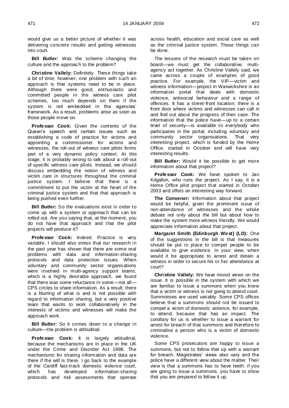would give us a better picture of whether it was delivering concrete results and getting witnesses into court.

**Bill Butler:** Was the scheme changing the culture and the approach to the problem?

**Christine Vallely:** Definitely. These things take a bit of time; however, one problem with such an approach is that systems need to be in place. Although there were good, enthusiastic and committed people in the witness care pilot schemes, too much depends on them if the system is not embedded in the agencies' framework. As a result, problems arise as soon as those people move on.

**Professor Cook:** Given the contents of the Queen's speech and certain issues such as establishing a code of practice for victims and appointing a commissioner for victims and witnesses, the roll-out of witness care pilots forms part of a very dynamic policy context. At this stage, it is probably wrong to talk about a roll-out of specific witness care pilots. Instead, we should discuss embedding the notion of witness and victim care in structures throughout the criminal justice system. I believe that there is a commitment to put the victim at the heart of the criminal justice system and that that approach is being pushed even further.

**Bill Butler:** So the evaluations exist in order to come up with a system or approach that can be rolled out. Are you saying that, at the moment, you do not have that approach and that the pilot projects will produce it?

**Professor Cook:** Indeed. Practice is very variable. I should also stress that our research in the past year has shown that there are some real problems with data and information-sharing protocols and data protection issues. When voluntary and community sector organisations were involved in multi-agency support teams, which is a highly desirable approach, we found that there was some reluctance in some—not all— CPS circles to share information. As a result, there is a blurring of what is and is not possible with regard to information sharing, but a very positive team that wants to work collaboratively in the interests of victims and witnesses will make the approach work.

**Bill Butler:** So it comes down to a change in culture—the problem is attitudinal.

**Professor Cook:** It is largely attitudinal, because the mechanisms are in place in the UK under the Crime and Disorder Act 1998. The mechanisms for sharing information and data are there if the will is there. I go back to the example of the Cardiff fast-track domestic violence court, which has developed information-sharing protocols and risk assessments that operate

across health, education and social care as well as the criminal justice system. Those things can be done.

The lessons of the research must be taken on board—we must get the collaborative, multiagency act together. As Christine Vallely said, we came across a couple of examples of good practice. For example, the VIP—victim and witness information—project in Warwickshire is an information portal that deals with domestic violence, antisocial behaviour and a range of offences. It has a street-front location; there is a front door where victims and witnesses can call in and find out about the progress of their case. The information that the police have—up to a certain level of security—is available to everybody who participates in the portal, including voluntary and community sector organisations. That very interesting project, which is funded by the Home Office, started in October and will have very interesting results.

**Bill Butler:** Would it be possible to get more information about that project?

**Professor Cook:** We have spoken to Jan Kilgallon, who runs the project. As I say, it is a Home Office pilot project that started in October 2003 and offers an interesting way forward.

**The Convener:** Information about that project would be helpful, given the prominent issue of non-attendance of witnesses and the whole debate not only about the bill but about how to make the system more witness friendly. We would appreciate information about that project.

**Margaret Smith (Edinburgh West) (LD):** One of the suggestions in the bill is that measures should be put in place to compel people to be available to give evidence. In your view, when would it be appropriate to arrest and detain a witness in order to secure his or her attendance at court?

**Christine Vallely:** We have mixed views on the issue. It is possible in the system with which we are familiar to issue a summons when you know that a victim or witness is not going to attend court. Summonses are used variably. Some CPS offices believe that a summons should not be issued to compel a victim of domestic violence, for example, to attend, because that has an impact. The corollary for us is whether to issue a warrant for arrest for breach of that summons and therefore to criminalise a person who is a victim of domestic violence.

Some CPS prosecutors are happy to issue a summons, but not to follow that up with a warrant for breach. Magistrates' views also vary and the police have a different view about the matter. Their view is that a summons has to have teeth: if you are going to issue a summons, you have to show that you are prepared to follow it up.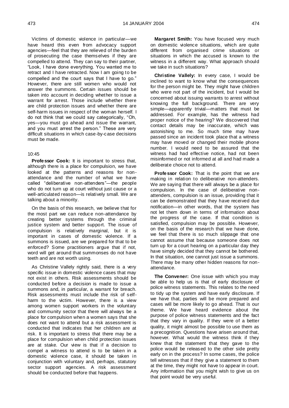Victims of domestic violence in particular—we have heard this even from advocacy support agencies—feel that they are relieved of the burden of prosecuting the case themselves if they are compelled to attend. They can say to their partner, "Look, I have done everything. You wanted me to retract and I have retracted. Now I am going to be compelled and the court says that I have to go." However, there are still women who would not answer the summons. Certain issues should be taken into account in deciding whether to issue a warrant for arrest. Those include whether there are child protection issues and whether there are self-harm issues in respect of the woman herself. I do not think that we could say categorically, "Oh, yes—you must go ahead and issue the warrant, and you must arrest the person." These are very difficult situations in which case-by-case decisions must be made.

# 10:45

**Professor Cook:** It is important to stress that, although there is a place for compulsion, we have looked at the patterns and reasons for nonattendance and the number of what we have called "deliberative non-attenders"—the people who do not turn up at court without just cause or a well-articulated reason—is relatively small. We are talking about a minority.

On the basis of this research, we believe that for the most part we can reduce non-attendance by creating better systems through the criminal justice system and better support. The issue of compulsion is relatively marginal, but it is important in cases of domestic violence. If a summons is issued, are we prepared for that to be enforced? Some practitioners argue that if not, word will get around that summonses do not have teeth and are not worth using.

As Christine Vallely rightly said, there is a very specific issue in domestic violence cases that may not exist in others. Risk assessments should be conducted before a decision is made to issue a summons and, in particular, a warrant for breach. Risk assessments must include the risk of selfharm to the victim. However, there is a view among women support workers in the voluntary and community sector that there will always be a place for compulsion when a women says that she does not want to attend but a risk assessment is conducted that indicates that her children are at risk. It is important to stress that there may be a place for compulsion when child protection issues are at stake. Our view is that if a decision to compel a witness to attend is to be taken in a domestic violence case, it should be taken in conjunction with voluntary and, perhaps, statutory sector support agencies. A risk assessment should be conducted before that happens.

**Margaret Smith:** You have focused very much on domestic violence situations, which are quite different from organised crime situations or situations in which the accused is known to the witness in a different way. What approach should we take in such situations?

**Christine Vallely:** In every case, I would be inclined to want to know what the consequences for the person might be. They might have children who were not part of the incident, but I would be concerned about issuing warrants to arrest without knowing the full background. There are very simple—apparently trivial—matters that must be addressed. For example, has the witness had proper notice of the hearing? We discovered that contact details may be inaccurate, which was astonishing to me. So much time may have passed since an incident took place that a witness may have moved or changed their mobile phone number. I would need to be assured that the witness had had effective notice, had not been misinformed or not informed at all and had made a deliberate choice not to attend.

**Professor Cook:** That is the point that we are making in relation to deliberative non-attenders. We are saying that there will always be a place for compulsion. In the case of deliberative nonattenders, compulsion is an issue, providing that it can be demonstrated that they have received due notification—in other words, that the system has not let them down in terms of information about the progress of the case. If that condition is satisfied, compulsion may be possible. However, on the basis of the research that we have done, we feel that there is so much slippage that one cannot assume that because someone does not turn up for a court hearing on a particular day they have simply decided that they cannot be bothered. In that situation, one cannot just issue a summons. There may be many other hidden reasons for nonattendance.

**The Convener:** One issue with which you may be able to help us is that of early disclosure of police witness statements. This relates to the need to tidy up the system and have early disclosure. If we have that, parties will be more prepared and cases will be more likely to go ahead. That is our theme. We have heard evidence about the purpose of police witness statements and the fact that they vary in quality. If they were of a better quality, it might almost be possible to use them as a precognition. Questions have arisen around that, however. What would the witness think if they knew that the statement that they gave to the police would be released to the other side pretty early on in the process? In some cases, the police tell witnesses that if they give a statement to them at the time, they might not have to appear in court. Any information that you might wish to give us on that point would be very useful.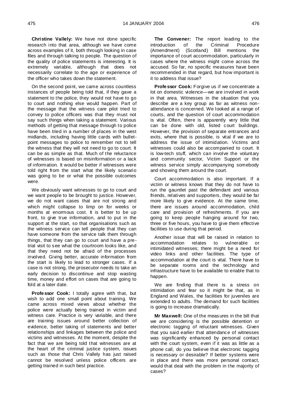**Christine Vallely:** We have not done specific research into that area, although we have come across examples of it, both through looking in case files and through talking to people. The question of the quality of police statements is interesting. It is extremely variable, although that does not necessarily correlate to the age or experience of the officer who takes down the statement.

On the second point, we came across countless instances of people being told that, if they gave a statement to the police, they would not have to go to court and nothing else would happen. Part of the message that the witness care pilot tried to convey to police officers was that they must not say such things when taking a statement. Various methods of getting that message through to police have been tried in a number of places in the west midlands, including having little cards with bulletpoint messages to police to remember not to tell the witness that they will not need to go to court. It can be as simple as that. Much of the reluctance of witnesses is based on misinformation or a lack of information. It would be better if witnesses were told right from the start what the likely scenario was going to be or what the possible outcomes were.

We obviously want witnesses to go to court and we want people to be brought to justice. However, we do not want cases that are not strong and which might collapse to limp on for weeks or months at enormous cost. It is better to be up front, to give true information, and to put in the support at the start, so that organisations such as the witness service can tell people that they can have someone from the service talk them through things, that they can go to court and have a pretrial visit to see what the courtroom looks like, and that they need not be afraid of the processes involved. Giving better, accurate information from the start is likely to lead to stronger cases. If a case is not strong, the prosecutor needs to take an early decision to discontinue and stop wasting time, money and effort on cases that are going to fold at a later date.

**Professor Cook:** I totally agree with that, but wish to add one small point about training. We came across mixed views about whether the police were actually being trained in victim and witness care. Practice is very variable, and there are training issues around better collection of evidence, better taking of statements and better relationships and linkages between the police and victims and witnesses. At the moment, despite the fact that we are being told that witnesses are at the heart of the criminal justice system, issues such as those that Chris Vallely has just raised cannot be resolved unless police officers are getting trained in such best practice.

**The Convener:** The report leading to the introduction of the Criminal Procedure<br>(Amendment) (Scotland) Bill mentions the (Amendment) (Scotland) Bill mentions the importance of court accommodation, particularly in cases where the witness might come across the accused. So far, no specific measures have been recommended in that regard, but how important is it to address that issue?

**Professor Cook:** Forgive us if we concentrate a lot on domestic violence—we are involved in work in that area. Witnesses in the situation that you describe are a key group as far as witness nonattendance is concerned. We looked at a range of courts, and the question of court accommodation is vital. Often, there is apparently very little that can be done with old, listed court buildings. However, the provision of separate entrances and exits, where that is possible, is vital if we are to address the issue of intimidation. Victims and witnesses could also be accompanied to court. It is low-tech stuff, which can involve the voluntary and community sector, Victim Support or the witness service simply accompanying somebody and showing them around the court.

Court accommodation is also important. If a victim or witness knows that they do not have to run the gauntlet past the defendant and various friends, relatives and supporters, they would be far more likely to give evidence. At the same time, there are issues around accommodation, child care and provision of refreshments. If you are going to keep people hanging around for two, three or five hours, you have to give them effective facilities to use during that period.

Another issue that will be raised in relation to accommodation relates to vulnerable or intimidated witnesses; there might be a need for video links and other facilities. The type of accommodation at the court is vital. There have to be separate rooms and the technology and infrastructure have to be available to enable that to happen.

We are finding that there is a stress on intimidation and fear so it might be that, as in England and Wales, the facilities for juveniles are extended to adults. The demand for such facilities is going to increase dramatically.

**Mr Maxwell:** One of the measures in the bill that we are considering is the possible detention or electronic tagging of reluctant witnesses. Given that you said earlier that attendance of witnesses was significantly enhanced by personal contact with the court system, even if it was as little as a phone call, do you believe that electronic tagging is necessary or desirable? If better systems were in place and there was more personal contact, would that deal with the problem in the majority of cases?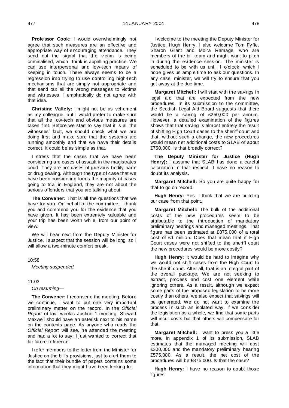**Professor Cook:** I would overwhelmingly not agree that such measures are an effective and appropriate way of encouraging attendance. They send out the signal that the victim is being criminalised, which I think is appalling practice. We can use interpersonal and low-tech means of keeping in touch. There always seems to be a regression into trying to use controlling high-tech mechanisms that are simply not appropriate and that send out all the wrong messages to victims and witnesses. I emphatically do not agree with that idea.

**Christine Vallely:** I might not be as vehement as my colleague, but I would prefer to make sure that all the low-tech and obvious measures are taken first. Before we start to say that it is all the witnesses' fault, we should check what we are doing first and make sure that the systems are running smoothly and that we have their details correct. It could be as simple as that.

I stress that the cases that we have been considering are cases of assault in the magistrates court. They are not cases of grievous bodily harm or drug dealing. Although the type of case that we have been considering forms the majority of cases going to trial in England, they are not about the serious offenders that you are talking about.

**The Convener:** That is all the questions that we have for you. On behalf of the committee, I thank you and commend you for the evidence that you have given. It has been extremely valuable and your trip has been worth while, from our point of view.

We will hear next from the Deputy Minister for Justice. I suspect that the session will be long, so I will allow a two-minute comfort break.

## 10:58

*Meeting suspended.*

# 11:03

*On resuming—*

**The Convener:** I reconvene the meeting. Before we continue, I want to put one very important preliminary matter on the record. In the *Official Report* of last week's Justice 1 meeting, Stewart Maxwell should have an asterisk next to his name on the contents page. As anyone who reads the *Official Report* will see, he attended the meeting and had a lot to say. I just wanted to correct that for future reference.

I refer members to the letter from the Minister for Justice on the bill's provisions, just to alert them to the fact that their bundle of papers contains some information that they might have been looking for.

I welcome to the meeting the Deputy Minister for Justice, Hugh Henry. I also welcome Tom Fyffe, Sharon Grant and Moira Ramage, who are members of the bill team and might want to pitch in during the evidence session. The minister is scheduled to be with us until 1 o'clock, which I hope gives us ample time to ask our questions. In any case, minister, we will try to ensure that you get away at the due time.

**Margaret Mitchell:** I will start with the savings in legal aid that are expected from the new procedures. In its submission to the committee, the Scottish Legal Aid Board suggests that there would be a saving of £250,000 per annum. However, a detailed examination of the figures shows that that saving is almost entirely the result of shifting High Court cases to the sheriff court and that, without such a change, the new procedures would mean net additional costs to SLAB of about £750,000. Is that broadly correct?

**The Deputy Minister for Justice (Hugh Henry):** I assume that SLAB has done a careful calculation in that respect. I have no reason to doubt its analysis.

**Margaret Mitchell:** So you are quite happy for that to go on record.

**Hugh Henry:** Yes. I think that we are building our case from that point.

**Margaret Mitchell:** The bulk of the additional costs of the new procedures seem to be attributable to the introduction of mandatory preliminary hearings and managed meetings. That figure has been estimated at £875,000 of a total cost of £1 million. Does that mean that if High Court cases were not shifted to the sheriff court the new procedures would be more costly?

**Hugh Henry:** It would be hard to imagine why we would not shift cases from the High Court to the sheriff court. After all, that is an integral part of the overall package. We are not seeking to extract, process and cost one element while ignoring others. As a result, although we expect some parts of the proposed legislation to be more costly than others, we also expect that savings will be generated. We do not want to examine the process in such an isolated way. If we consider the legislation as a whole, we find that some parts will incur costs but that others will compensate for that.

**Margaret Mitchell:** I want to press you a little more. In appendix 1 of its submission, SLAB estimates that the managed meeting will cost £300,000 and the mandatory preliminary hearing £575,000. As a result, the net cost of the procedures will be £875,000. Is that the case?

**Hugh Henry:** I have no reason to doubt those figures.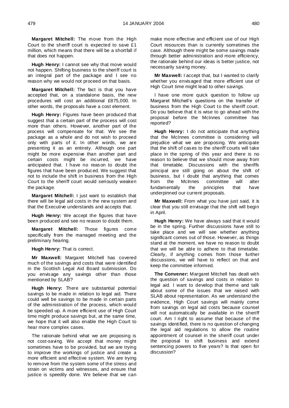**Margaret Mitchell:** The move from the High Court to the sheriff court is expected to save £1 million, which means that there will be a shortfall if that does not happen.

**Hugh Henry:** I cannot see why that move would not happen. Shifting business to the sheriff court is an integral part of the package and I see no reason why we would not proceed on that basis.

**Margaret Mitchell:** The fact is that you have accepted that, on a standalone basis, the new procedures will cost an additional £875,000. In other words, the proposals have a cost element.

**Hugh Henry:** Figures have been produced that suggest that a certain part of the process will cost more than others. However, another part of the process will compensate for that. We see the package as a whole and do not wish to proceed only with parts of it. In other words, we are presenting it as an entirety. Although one part might be more expensive than another part and certain costs might be incurred, we have anticipated that. I have no reason to doubt the figures that have been produced. We suggest that not to include the shift in business from the High Court to the sheriff court would seriously weaken the package.

**Margaret Mitchell:** I just want to establish that there will be legal aid costs in the new system and that the Executive understands and accepts that.

**Hugh Henry:** We accept the figures that have been produced and see no reason to doubt them.

**Margaret Mitchell:** Those figures come specifically from the managed meeting and the preliminary hearing.

**Hugh Henry:** That is correct.

**Mr Maxwell:** Margaret Mitchell has covered much of the savings and costs that were identified in the Scottish Legal Aid Board submission. Do you envisage any savings other than those mentioned by SLAB?

**Hugh Henry:** There are substantial potential savings to be made in relation to legal aid. There could well be savings to be made in certain parts of the administration of the process, which would be speeded up. A more efficient use of High Court time might produce savings but, at the same time, we hope that it will also enable the High Court to hear more complex cases.

The rationale behind what we are proposing is not cost-saving. We accept that money might sometimes have to be provided, but we are trying to improve the workings of justice and create a more efficient and effective system. We are trying to remove from the system some of the stress and strain on victims and witnesses, and ensure that justice is speedily done. We believe that we can make more effective and efficient use of our High Court resources than is currently sometimes the case. Although there might be some savings made through better administration and more efficiency, the rationale behind our ideas is better justice, not necessarily saving money.

**Mr Maxwell:** I accept that, but I wanted to clarify whether you envisaged that more efficient use of High Court time might lead to other savings.

I have one more quick question to follow up Margaret Mitchell's questions on the transfer of business from the High Court to the sheriff court. Do you believe that it is wise to go ahead with the proposal before the McInnes committee has reported?

**Hugh Henry:** I do not anticipate that anything that the McInnes committee is considering will prejudice what we are proposing. We anticipate that the shift of cases to the sheriff courts will take place in the spring of this year and there is no reason to believe that we should move away from that timetable. Discussions with the sheriffs principal are still going on about the shift of business, but I doubt that anything that comes from the McInnes committee will alter fundamentally the principles that have underpinned our current proposals.

**Mr Maxwell:** From what you have just said, it is clear that you still envisage that the shift will begin in April.

**Hugh Henry:** We have always said that it would be in the spring. Further discussions have still to take place and we will see whether anything significant comes out of those. However, as things stand at the moment, we have no reason to doubt that we will be able to adhere to that timetable. Clearly, if anything comes from those further discussions, we will have to reflect on that and keep the committee informed.

**The Convener:** Margaret Mitchell has dealt with the question of savings and costs in relation to legal aid. I want to develop that theme and talk about some of the issues that we raised with SLAB about representation. As we understand the evidence, High Court savings will mainly come from savings on legal aid costs because counsel will not automatically be available in the sheriff court. Am I right to assume that because of the savings identified, there is no question of changing the legal aid regulations to allow the routine appointment of counsel in the sheriff court under the proposal to shift business and extend sentencing powers to five years? Is that open for discussion?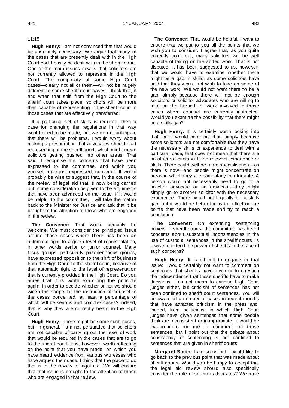## 11:15

**Hugh Henry:** I am not convinced that that would be absolutely necessary. We argue that many of the cases that are presently dealt with in the High Court could easily be dealt with in the sheriff court. One of the main issues now is that solicitors are not currently allowed to represent in the High Court. The complexity of some High Court cases—clearly not all of them—will not be hugely different to some sheriff court cases. I think that, if and when that shift from the High Court to the sheriff court takes place, solicitors will be more than capable of representing in the sheriff court in those cases that are effectively transferred.

If a particular set of skills is required, then a case for changing the regulations in that way would need to be made, but we do not anticipate that there will be problems. I would worry about making a presumption that advocates should start representing at the sheriff court, which might mean solicitors getting pushed into other areas. That said. I recognise the concerns that have been expressed to the committee, and which you yourself have just expressed, convener. It would probably be wise to suggest that, in the course of the review of legal aid that is now being carried out, some consideration be given to the arguments that have been advanced on the issue. If it would be helpful to the committee, I will take the matter back to the Minister for Justice and ask that it be brought to the attention of those who are engaged in the review.

**The Convener:** That would certainly be welcome. We must consider the principled issue around those cases where there has been an automatic right to a given level of representation, in other words senior or junior counsel. Many focus groups, particularly prisoner focus groups, have expressed opposition to the shift of business from the High Court to the sheriff court, because of that automatic right to the level of representation that is currently provided in the High Court. Do you agree that it is worth examining the principle again, in order to decide whether or not we should widen the scope for the instruction of counsel in the cases concerned, at least a percentage of which will be serious and complex cases? Indeed, that is why they are currently heard in the High Court.

**Hugh Henry:** There might be some such cases, but, in general, I am not persuaded that solicitors are not capable of carrying out the level of work that would be required in the cases that are to go to the sheriff court. It is, however, worth reflecting on the point that you have made, on which you have heard evidence from various witnesses who have argued their case. I think that the place to do that is in the review of legal aid. We will ensure that that issue is brought to the attention of those who are engaged in that review.

**The Convener:** That would be helpful. I want to ensure that we put to you all the points that we wish you to consider. I agree that, as you quite correctly point out, many solicitors will be well capable of taking on the added work. That is not disputed. It has been suggested to us, however, that we would have to examine whether there might be a gap in skills, as some solicitors have said that they would not wish to take on some of the new work. We would not want there to be a gap, simply because there will not be enough solicitors or solicitor advocates who are willing to take on the breadth of work involved in those cases where counsel are currently instructed. Would you examine the possibility that there might be a skills gap?

**Hugh Henry:** It is certainly worth looking into that, but I would point out that, simply because some solicitors are not comfortable that they have the necessary skills or experience to deal with a particular case, that does not mean that there are no other solicitors with the relevant experience or skills. There could well be more specialisation—as there is now—and people might concentrate on areas in which they are particularly comfortable. A person would not necessarily need to go to a solicitor advocate or an advocate—they might simply go to another solicitor with the necessary experience. There would not logically be a skills gap, but it would be better for us to reflect on the points that have been made and try to reach a conclusion.

**The Convener:** On extending sentencing powers in sheriff courts, the committee has heard concerns about substantial inconsistencies in the use of custodial sentences in the sheriff courts. Is it wise to extend the power of sheriffs in the face of such concerns?

**Hugh Henry:** It is difficult to engage in that issue; I would certainly not want to comment on sentences that sheriffs have given or to question the independence that those sheriffs have to make decisions. I do not mean to criticise High Court judges either, but criticism of sentences has not been confined to sheriff court sentences. You will be aware of a number of cases in recent months that have attracted criticism in the press and, indeed, from politicians, in which High Court judges have given sentences that some people think are inconsistent or inappropriate. It would be inappropriate for me to comment on those sentences, but I point out that the debate about consistency of sentencing is not confined to sentences that are given in sheriff courts.

**Margaret Smith:** I am sorry, but I would like to go back to the previous point that was made about sheriff courts. Would you be happy to accept that the legal aid review should also specifically consider the role of solicitor advocates? We have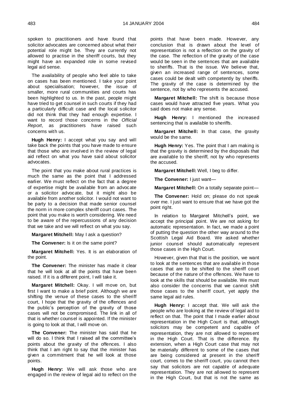spoken to practitioners and have found that solicitor advocates are concerned about what their potential role might be. They are currently not allowed to practise in the sheriff courts, but they might have an expanded role in some revised legal aid sense.

The availability of people who feel able to take on cases has been mentioned. I take your point about specialisation; however, the issue of smaller, more rural communities and courts has been highlighted to us. In the past, people might have tried to get counsel in such courts if they had a particularly difficult case and the local solicitor did not think that they had enough expertise. I want to record those concerns in the *Official Report*, as practitioners have raised such concerns with us.

**Hugh Henry:** I accept what you say and will take back the points that you have made to ensure that those who are involved in the review of legal aid reflect on what you have said about solicitor advocates.

The point that you make about rural practices is much the same as the point that I addressed earlier. We must reflect on the fact that a degree of expertise might be available from an advocate or a solicitor advocate, but it might also be available from another solicitor. I would not want to be party to a decision that made senior counsel the norm in more complex sheriff court cases. The point that you make is worth considering. We need to be aware of the repercussions of any decision that we take and we will reflect on what you say.

**Margaret Mitchell:** May I ask a question?

**The Convener:** Is it on the same point?

**Margaret Mitchell:** Yes. It is an elaboration of the point.

**The Convener:** The minister has made it clear that he will look at all the points that have been raised. If it is a different point, I will take it.

**Margaret Mitchell:** Okay. I will move on, but first I want to make a brief point. Although we are shifting the venue of these cases to the sheriff court, I hope that the gravity of the offences and the public's perception of the gravity of those cases will not be compromised. The link in all of that is whether counsel is appointed. If the minister is going to look at that, I will move on.

**The Convener:** The minister has said that he will do so. I think that I raised all the committee's points about the gravity of the offences. I also think that I am right to say that the minister has given a commitment that he will look at those points.

**Hugh Henry:** We will ask those who are engaged in the review of legal aid to reflect on the

points that have been made. However, any conclusion that is drawn about the level of representation is not a reflection on the gravity of the case. The reflection of the gravity of the case would be seen in the sentences that are available to sheriffs. That is the issue. We believe that, given an increased range of sentences, some cases could be dealt with competently by sheriffs. The gravity of the case is determined by the sentence, not by who represents the accused.

**Margaret Mitchell:** The shift is because those cases would have attracted five years. What you said does not make any sense.

**Hugh Henry:** I mentioned the increased sentencing that is available to sheriffs.

**Margaret Mitchell:** In that case, the gravity would be the same.

**Hugh Henry:** Yes. The point that I am making is that the gravity is determined by the disposals that are available to the sheriff, not by who represents the accused.

**Margaret Mitchell:** Well, I beg to differ.

**The Convener:** I just want—

**Margaret Mitchell:** On a totally separate point—

**The Convener:** Hold on; please do not speak over me. I just want to ensure that we have got the point right.

In relation to Margaret Mitchell's point, we accept the principal point. We are not asking for automatic representation. In fact, we made a point of putting the question the other way around to the Scottish Legal Aid Board. We asked whether junior counsel should automatically represent those cases in the High Court.

However, given that that is the position, we want to look at the sentences that are available in those cases that are to be shifted to the sheriff court because of the nature of the offences. We have to look at the skills that should be available. We must also consider the concerns that we cannot shift those cases to the sheriff court, yet apply the same legal aid rules.

**Hugh Henry:** I accept that. We will ask the people who are looking at the review of legal aid to reflect on that. The point that I made earlier about representation in the High Court is that, although solicitors may be competent and capable of representation, they are not allowed to represent in the High Court. That is the difference. By extension, when a High Court case that may not be materially different to some of the cases that are being considered at present in the sheriff court, comes to the sheriff court, you cannot then say that solicitors are not capable of adequate representation. They are not allowed to represent in the High Court, but that is not the same as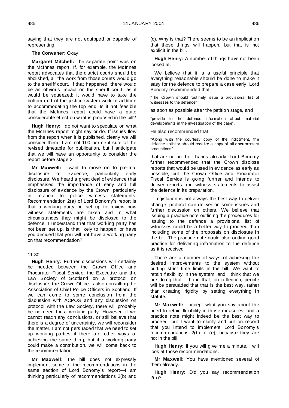saying that they are not equipped or capable of representing.

# **The Convener:** Okay.

**Margaret Mitchell:** The separate point was on the McInnes report. If, for example, the McInnes report advocates that the district courts should be abolished, all the work from those courts would go to the sheriff court. If that happened, there would be an obvious impact on the sheriff court, as it would be squeezed; it would have to take the bottom end of the justice system work in addition to accommodating the top end. Is it not feasible that the McInnes report could have a quite considerable effect on what is proposed in the bill?

**Hugh Henry:** I do not want to speculate on what the McInnes report might say or do. If issues flow from the report when it is published, clearly we will consider them. I am not 100 per cent sure of the revised timetable for publication, but I anticipate that we will have an opportunity to consider the report before stage 2.

**Mr Maxwell:** I want to move on to pre-trial disclosure of evidence, particularly early disclosure. We heard a great deal of evidence that emphasised the importance of early and full disclosure of evidence by the Crown, particularly in relation to police witness statements. Recommendation 2(a) of Lord Bonomy's report is that a working party be set up to review how witness statements are taken and in what circumstances they might be disclosed to the defence. I understand that that working party has not been set up. Is that likely to happen, or have you decided that you will not have a working party on that recommendation?

# 11:30

**Hugh Henry:** Further discussions will certainly be needed between the Crown Office and Procurator Fiscal Service, the Executive and the Law Society of Scotland on a protocol on disclosure; the Crown Office is also consulting the Association of Chief Police Officers in Scotland. If we can come to some conclusion from the discussion with ACPOS and any discussion on protocol with the Law Society, there will probably be no need for a working party. However, if we cannot reach any conclusions, or still believe that there is a degree of uncertainty, we will reconsider the matter. I am not persuaded that we need to set up working parties if there are other ways of achieving the same thing, but if a working party could make a contribution, we will come back to the recommendation.

**Mr Maxwell:** The bill does not expressly implement some of the recommendations in the same section of Lord Bonomy's report—I am thinking particularly of recommendations 2(b) and

(c). Why is that? There seems to be an implication that those things will happen, but that is not explicit in the bill.

**Hugh Henry:** A number of things have not been looked at.

We believe that it is a useful principle that everything reasonable should be done to make it easy for the defence to prepare a case early. Lord Bonomy recommended that

"The Crow n should routinely issue a provisional list of w itnesses to the defence"

as soon as possible after the petition stage, and

"provide to the defence information about material developments in the investigation of the case".

He also recommended that,

"Along w ith the courtesy copy of the indictment, the defence solicitor should receive a copy of all documentary productions"

that are not in their hands already. Lord Bonomy further recommended that the Crown disclose reports that would be used in evidence as early as possible, but the Crown Office and Procurator Fiscal Service is going further and intends to deliver reports and witness statements to assist the defence in its preparation.

Legislation is not always the best way to deliver change: protocol can deliver on some issues and further discussion on others. We believe that issuing a practice note outlining the procedures for issuing to the defence a provisional list of witnesses could be a better way to proceed than including some of the proposals on disclosure in the bill. The practice note could also outline good practice for delivering information to the defence as it is received.

There are a number of ways of achieving the desired improvements to the system without putting strict time limits in the bill. We want to retain flexibility in the system, and I think that we are doing that. I hope that, on reflection, people will be persuaded that that is the best way, rather than creating rigidity by setting everything in statute.

**Mr Maxwell:** I accept what you say about the need to retain flexibility in those measures, and a practice note might indeed be the best way to proceed, but I want to clarify and put on record that you intend to implement Lord Bonomy's recommendations 2(b) to (e), because they are not in the bill.

**Hugh Henry:** If you will give me a minute, I will look at those recommendations.

**Mr Maxwell:** You have mentioned several of them already.

**Hugh Henry:** Did you say recommendation 2(b)?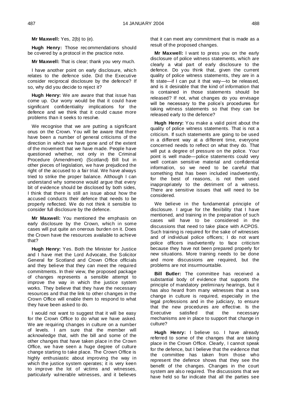**Mr Maxwell:** Yes, 2(b) to (e).

**Hugh Henry:** Those recommendations should be covered by a protocol in the practice note.

**Mr Maxwell:** That is clear; thank you very much.

I have another point on early disclosure, which relates to the defence side. Did the Executive consider reciprocal disclosure by the defence? If so, why did you decide to reject it?

**Hugh Henry:** We are aware that that issue has come up. Our worry would be that it could have significant confidentiality implications for the defence and we think that it could cause more problems than it seeks to resolve.

We recognise that we are putting a significant onus on the Crown. You will be aware that there have been a number of general criticisms of the direction in which we have gone and of the extent of the movement that we have made. People have questioned whether, not only in the Criminal Procedure (Amendment) (Scotland) Bill but in other pieces of legislation, we have prejudiced the right of the accused to a fair trial. We have always tried to strike the proper balance. Although I can understand why someone would argue that every bit of evidence should be disclosed by both sides, I think that there is still an issue about how the accused conducts their defence that needs to be properly reflected. We do not think it sensible to consider full disclosure by the defence.

**Mr Maxwell:** You mentioned the emphasis on early disclosure by the Crown, which in some cases will put quite an onerous burden on it. Does the Crown have the resources available to achieve that?

**Hugh Henry:** Yes. Both the Minister for Justice and I have met the Lord Advocate, the Solicitor General for Scotland and Crown Office officials and they believe that they can meet the required commitments. In their view, the proposed package of changes represents a sensible attempt to improve the way in which the justice system works. They believe that they have the necessary resources and that the link to other changes in the Crown Office will enable them to respond to what they have been asked to do.

I would not want to suggest that it will be easy for the Crown Office to do what we have asked. We are requiring changes in culture on a number of levels. I am sure that the member will acknowledge that, with the bill and some of the other changes that have taken place in the Crown Office, we have seen a huge degree of culture change starting to take place. The Crown Office is highly enthusiastic about improving the way in which the justice system operates; it is very keen to improve the lot of victims and witnesses, particularly vulnerable witnesses, and it believes

that it can meet any commitment that is made as a result of the proposed changes.

**Mr Maxwell:** I want to press you on the early disclosure of police witness statements, which are clearly a vital part of early disclosure to the defence. Do you think that, given the current quality of police witness statements, they are in a fit state—if I can put it that way—to be released, and is it desirable that the kind of information that is contained in those statements should be released? If not, what changes do you envisage will be necessary to the police's procedures for taking witness statements so that they can be released early to the defence?

**Hugh Henry:** You make a valid point about the quality of police witness statements. That is not a criticism. If such statements are going to be used in a different way at a different time, everyone concerned needs to reflect on what they do. That will put a degree of pressure on the police. Your point is well made—police statements could very well contain sensitive material and confidential information, so we need to be careful that something that has been included inadvertently, for the best of reasons, is not then used inappropriately to the detriment of a witness. There are sensitive issues that will need to be considered.

We believe in the fundamental principle of disclosure. I argue for the flexibility that I have mentioned, and training in the preparation of such cases will have to be considered in the discussions that need to take place with ACPOS. Such training is required for the sake of witnesses and of individual police officers; I do not want police officers inadvertently to face criticism because they have not been prepared properly for new situations. More training needs to be done and more discussions are required, but the problems are not insurmountable.

**Bill Butler:** The committee has received a substantial body of evidence that supports the principle of mandatory preliminary hearings, but it has also heard from many witnesses that a sea change in culture is required, especially in the legal professions and in the judiciary, to ensure that the new procedures are effective. Is the Executive satisfied that the necessary mechanisms are in place to support that change in culture?

**Hugh Henry:** I believe so. I have already referred to some of the changes that are taking place in the Crown Office. Clearly, I cannot speak for the defence, but I believe that the evidence that the committee has taken from those who represent the defence shows that they see the benefit of the changes. Changes in the court system are also required. The discussions that we have held so far indicate that all the parties see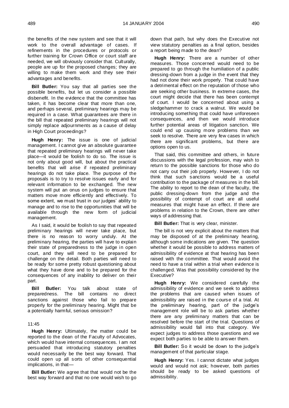the benefits of the new system and see that it will work to the overall advantage of cases. If refinements in the procedures or protocols or further training for Crown Office or court staff are needed, we will obviously consider that. Culturally, people are up for the proposed changes; they are willing to make them work and they see their advantages and benefits.

**Bill Butler:** You say that all parties see the possible benefits, but let us consider a possible disbenefit. In the evidence that the committee has taken, it has become clear that more than one, and perhaps several, preliminary hearings may be required in a case. What guarantees are there in the bill that repeated preliminary hearings will not simply replace adjournments as a cause of delay in High Court proceedings?

**Hugh Henry:** The issue is one of judicial management. I cannot give an absolute guarantee that repeated preliminary hearings will never take place—it would be foolish to do so. The issue is not only about good will, but about the practical benefits that will arise if repeated preliminary hearings do not take place. The purpose of the proposals is to try to resolve issues early and for relevant information to be exchanged. The new system will put an onus on judges to ensure that matters move more efficiently and effectively. To some extent, we must trust in our judges' ability to manage and to rise to the opportunities that will be available through the new form of judicial management.

As I said, it would be foolish to say that repeated preliminary hearings will never take place, but there is no reason to worry unduly. At the preliminary hearing, the parties will have to explain their state of preparedness to the judge in open court, and they will need to be prepared for challenge on the detail. Both parties will need to be ready for some pretty robust questioning about what they have done and to be prepared for the consequences of any inability to deliver on their part.

**Bill Butler:** You talk about state of preparedness. The bill contains no direct sanctions against those who fail to prepare properly for the preliminary hearing. Might that be a potentially harmful, serious omission?

## 11:45

**Hugh Henry:** Ultimately, the matter could be reported to the dean of the Faculty of Advocates, which would have internal consequences. I am not persuaded that introducing statutory penalties would necessarily be the best way forward. That could open up all sorts of other consequential implications, in that—

**Bill Butler:** We agree that that would not be the best way forward and that no one would wish to go

down that path, but why does the Executive not view statutory penalties as a final option, besides a report being made to the dean?

**Hugh Henry:** There are a number of other measures. Those concerned would need to be prepared to go through the humiliation of a public dressing-down from a judge in the event that they had not done their work properly. That could have a detrimental effect on the reputation of those who are seeking other business. In extreme cases, the court might decide that there has been contempt of court. I would be concerned about using a sledgehammer to crack a walnut. We would be introducing something that could have unforeseen consequences, and then we would introduce further potential areas of litigation sanction. We could end up causing more problems than we seek to resolve. There are very few cases in which there are significant problems, but there are options open to us.

That said, this committee and others, in future discussions with the legal profession, may wish to return to the possible sanctions for those who do not carry out their job properly. However, I do not think that such sanctions would be a useful contribution to the package of measures in the bill. The ability to report to the dean of the faculty, the public dressing-down from the judge and the possibility of contempt of court are all useful measures that might have an effect. If there are problems in relation to the Crown, there are other ways of addressing that.

**Bill Butler:** That is very clear, minister.

The bill is not very explicit about the matters that may be disposed of at the preliminary hearing, although some indications are given. The question whether it would be possible to address matters of admissibility of evidence at that hearing has been raised with the committee. That would avoid the need to have a trial within a trial when evidence is challenged. Was that possibility considered by the Executive?

**Hugh Henry:** We considered carefully the admissibility of evidence and we seek to address the problems that are caused when issues of admissibility are raised in the course of a trial. At the preliminary hearing, part of the judge's management role will be to ask parties whether there are any preliminary matters that can be resolved before the start of the trial. Questions of admissibility would fall into that category. We expect judges to address those questions and we expect both parties to be able to answer them.

**Bill Butler:** So it would be down to the judge's management of that particular stage.

**Hugh Henry:** Yes. I cannot dictate what judges would and would not ask; however, both parties should be ready to be asked questions of admissibility.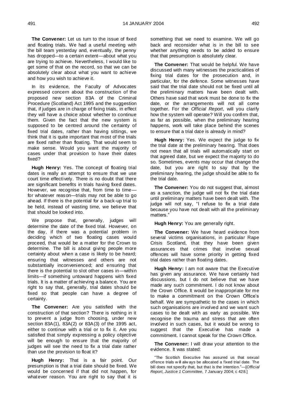**The Convener:** Let us turn to the issue of fixed and floating trials. We had a useful meeting with the bill team yesterday and, eventually, the penny has dropped—to a certain extent—about what you are trying to achieve. Nevertheless, I would like to get some of that on the record, so that we can be absolutely clear about what you want to achieve and how you wish to achieve it.

In its evidence, the Faculty of Advocates expressed concern about the construction of the proposed new section 83A of the Criminal Procedure (Scotland) Act 1995 and the suggestion that, if judges are in charge of fixing trials, in effect they will have a choice about whether to continue them. Given the fact that the new system is supposed to be centred around the certainty of fixed trial dates, rather than having sittings, we think that it is quite important that most of the trials are fixed rather than floating. That would seem to make sense. Would you want the majority of cases under that provision to have their dates fixed?

**Hugh Henry:** Yes. The concept of floating trial dates is really an attempt to ensure that we use court time effectively. There is no doubt that there are significant benefits in trials having fixed dates. However, we recognise that, from time to time for whatever reason—trials may not be able to go ahead. If there is the potential for a back-up trial to be held, instead of wasting time, we believe that that should be looked into.

We propose that, generally, judges will determine the date of the fixed trial. However, on the day, if there was a potential problem in deciding which of two floating cases would proceed, that would be a matter for the Crown to determine. The bill is about giving people more certainty about when a case is likely to be heard; ensuring that witnesses and others are not substantially inconvenienced; and ensuring that there is the potential to slot other cases in—within limits—if something untoward happens with fixed trials. It is a matter of achieving a balance. You are right to say that, generally, trial dates should be fixed so that people can have a degree of certainty.

**The Convener:** Are you satisfied with the construction of that section? There is nothing in it to prevent a judge from choosing, under new section 83A(1), 83A(2) or 83A(3) of the 1995 act, either to continue with a trial or to fix it. Are you satisfied that simply expressing a policy objective will be enough to ensure that the majority of judges will see the need to fix a trial date rather than use the provision to float it?

**Hugh Henry:** That is a fair point. Our presumption is that a trial date should be fixed. We would be concerned if that did not happen, for whatever reason. You are right to say that it is

something that we need to examine. We will go back and reconsider what is in the bill to see whether anything needs to be added to ensure that that presumption is absolutely clear.

**The Convener:** That would be helpful. We have discussed with many witnesses the practicalities of fixing trial dates for the prosecution and, in particular, for the defence. Some witnesses have said that the trial date should not be fixed until all the preliminary matters have been dealt with. Others have said that work must be done to fix the date, or the arrangements will not all come together. For the *Official Report*, will you clarify how the system will operate? Will you confirm that, as far as possible, when the preliminary hearing happens, work will take place behind the scenes to ensure that a trial date is already in mind?

**Hugh Henry:** Yes. We expect the judge to fix the trial date at the preliminary hearing. That does not mean that all trials will automatically start on that agreed date, but we expect the majority to do so. Sometimes, events may occur that change the date, but you are right to say that by the preliminary hearing, the judge should be able to fix the trial date.

**The Convener:** You do not suggest that, almost as a sanction, the judge will not fix the trial date until preliminary matters have been dealt with. The judge will not say, "I refuse to fix a trial date because you have not dealt with all the preliminary matters."

**Hugh Henry:** You are generally right.

**The Convener:** We have heard evidence from several victims organisations, in particular Rape Crisis Scotland, that they have been given assurances that crimes that involve sexual offences will have some priority in getting fixed trial dates rather than floating dates.

**Hugh Henry:** I am not aware that the Executive has given any assurance. We have certainly had discussions, but I do not believe that we have made any such commitment. I do not know about the Crown Office. It would be inappropriate for me to make a commitment on the Crown Office's behalf. We are sympathetic to the cases in which such organisations are involved and we want such cases to be dealt with as early as possible. We recognise the trauma and stress that are often involved in such cases, but it would be wrong to suggest that the Executive has made a commitment. I cannot speak for the Crown Office.

**The Convener:** I will draw your attention to the evidence. It was stated:

"The Scottish Executive has assured us that sexual offence trials w ill alw ays be allocated a fixed trial date. The bill does not specify that, but that is the intention."—[*Official Report*, *Justice 1 Committee*, 7 January 2004; c 428.]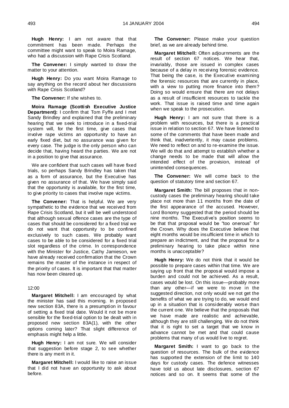**Hugh Henry:** I am not aware that that commitment has been made. Perhaps the committee might want to speak to Moira Ramage, who had a discussion with Rape Crisis Scotland.

**The Convener:** I simply wanted to draw the matter to your attention.

**Hugh Henry:** Do you want Moira Ramage to say anything on the record about her discussions with Rape Crisis Scotland?

**The Convener:** If she wishes to.

**Moira Ramage (Scottish Executive Justice Department):** I confirm that Tom Fyffe and I met Sandy Brindley and explained that the preliminary hearing that we seek to introduce in a fixed-trial system will, for the first time, give cases that involve rape victims an opportunity to have an early fixed diet, but no assurance was given for every case. The judge is the only person who can decide that, having heard the parties. We are not in a position to give that assurance.

We are confident that such cases will have fixed trials, so perhaps Sandy Brindley has taken that as a form of assurance, but the Executive has given no assurance of that. We have simply said that the opportunity is available, for the first time, to give priority to cases that involve rape victims.

**The Convener:** That is helpful. We are very sympathetic to the evidence that we received from Rape Crisis Scotland, but it will be well understood that although sexual offence cases are the type of cases that should be considered for a fixed trial we do not want that opportunity to be confined exclusively to such cases. We probably want cases to be able to be considered for a fixed trial slot regardless of the crime. In correspondence with the Minister for Justice, Cathy Jamieson, we have already received confirmation that the Crown remains the master of the instance in respect of the priority of cases. It is important that that matter has now been cleared up.

## 12:00

**Margaret Mitchell:** I am encouraged by what the minister has said this morning. In proposed new section 83A, there is a presumption in favour of setting a fixed trial date. Would it not be more sensible for the fixed-trial option to be dealt with in proposed new section 83A(1), with the other options coming later? That slight difference of emphasis might help a little.

**Hugh Henry:** I am not sure. We will consider that suggestion before stage 2, to see whether there is any merit in it.

**Margaret Mitchell:** I would like to raise an issue that I did not have an opportunity to ask about before.

**The Convener:** Please make your question brief, as we are already behind time.

**Margaret Mitchell:** Often adjournments are the result of section 67 notices. We hear that, invariably, those are issued in complex cases because of a delay in receiving forensic evidence. That being the case, is the Executive examining the forensic resources that are currently in place, with a view to putting more finance into them? Doing so would ensure that there are not delays as a result of insufficient resources to tackle the work. That issue is raised time and time again when we speak to the prosecution.

**Hugh Henry:** I am not sure that there is a problem with resources, but there is a practical issue in relation to section 67. We have listened to some of the comments that have been made and think that, inadvertently, it may cause problems. We need to reflect on and to re-examine the issue. We will do that and attempt to establish whether a change needs to be made that will allow the intended effect of the provision, instead of unintended consequences.

**The Convener:** We will come back to the question of statutory time and section 67.

**Margaret Smith:** The bill proposes that in noncustody cases the preliminary hearing should take place not more than 11 months from the date of the first appearance of the accused. However, Lord Bonomy suggested that the period should be nine months. The Executive's position seems to be that that proposal would be "too onerous" for the Crown. Why does the Executive believe that eight months would be insufficient time in which to prepare an indictment, and that the proposal for a preliminary hearing to take place within nine months is unacceptable?

**Hugh Henry:** We do not think that it would be possible to prepare cases within that time. We are saying up front that the proposal would impose a burden and could not be achieved. As a result, cases would be lost. On this issue—probably more than any other—if we were to move in the suggested direction, not only would we not get the benefits of what we are trying to do, we would end up in a situation that is considerably worse than the current one. We believe that the proposals that we have made are realistic and achievable, although they are still challenging. We do not think that it is right to set a target that we know in advance cannot be met and that could cause problems that many of us would live to regret.

**Margaret Smith:** I want to go back to the question of resources. The bulk of the evidence has supported the extension of the limit to 140 days for custody cases. The defence witnesses have told us about late disclosures, section 67 notices and so on. It seems that some of the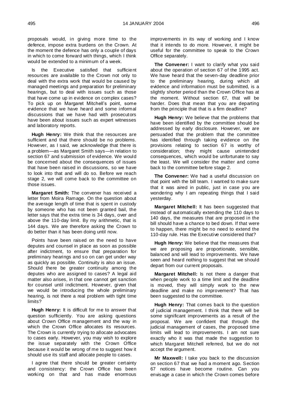proposals would, in giving more time to the defence, impose extra burdens on the Crown. At the moment the defence has only a couple of days in which to come forward with things, which I think would be extended to a minimum of a week.

Is the Executive satisfied that sufficient resources are available to the Crown not only to deal with the extra work that would be caused by managed meetings and preparation for preliminary hearings, but to deal with issues such as those that have come up in evidence on complex cases? To pick up on Margaret Mitchell's point, some evidence that we have heard and some informal discussions that we have had with prosecutors have been about issues such as expert witnesses and laboratory reports.

**Hugh Henry:** We think that the resources are sufficient and that there should be no problems. However, as I said, we acknowledge that there is a problem—as Margaret Smith says—in relation to section 67 and submission of evidence. We would be concerned about the consequences of issues that have been raised in discussions, so we have to look into that and will do so. Before we reach stage 2, we will come back to the committee on those issues.

**Margaret Smith:** The convener has received a letter from Moira Ramage. On the question about the average length of time that is spent in custody by someone who has not been granted bail, the letter says that the extra time is 34 days, over and above the 110-day limit. By my arithmetic, that is 144 days. We are therefore asking the Crown to do better than it has been doing until now.

Points have been raised on the need to have deputes and counsel in place as soon as possible after indictment, to ensure that preparation for preliminary hearings and so on can get under way as quickly as possible. Continuity is also an issue. Should there be greater continuity among the deputes who are assigned to cases? A legal aid matter also arises, in that one cannot get sanction for counsel until indictment. However, given that we would be introducing the whole preliminary hearing, is not there a real problem with tight time limits?

**Hugh Henry:** It is difficult for me to answer that question sufficiently. You are asking questions about Crown Office management and the way in which the Crown Office allocates its resources. The Crown is currently trying to allocate advocates to cases early. However, you may wish to explore the issue separately with the Crown Office because it would be wrong of me to suggest how it should use its staff and allocate people to cases.

I agree that there should be greater certainty and consistency: the Crown Office has been working on that and has made enormous

improvements in its way of working and I know that it intends to do more. However, it might be useful for the committee to speak to the Crown Office separately.

**The Convener:** I want to clarify what you said about the operation of section 67 of the 1995 act. We have heard that the seven-day deadline prior to the preliminary hearing, during which all evidence and information must be submitted, is a slightly shorter period than the Crown Office has at the moment. Without section 67, that will be harder. Does that mean that you are departing from the principle that that is a firm deadline?

**Hugh Henry:** We believe that the problems that have been identified by the committee should be addressed by early disclosure. However, we are persuaded that the problem that the committee has identified through taking evidence on the provisions relating to section 67 is worthy of consideration; they might cause unintended consequences, which would be unfortunate to say the least. We will consider the matter and come back to the committee before stage 2.

**The Convener:** We had a useful discussion on that point with the bill team. I wanted to make sure that it was aired in public, just in case you are wondering why I am repeating things that I said yesterday.

**Margaret Mitchell:** It has been suggested that instead of automatically extending the 110 days to 140 days, the measures that are proposed in the bill should have a chance to bed down. If that were to happen, there might be no need to extend the 110-day rule. Has the Executive considered that?

**Hugh Henry:** We believe that the measures that we are proposing are proportionate, sensible, balanced and will lead to improvements. We have seen and heard nothing to suggest that we should depart from our current proposals.

**Margaret Mitchell:** Is not there a danger that when people work to a time limit and the deadline is moved, they will simply work to the new deadline and make no improvement? That has been suggested to the committee.

**Hugh Henry:** That comes back to the question of judicial management. I think that there will be some significant improvements as a result of the proposal. We are confident that through the judicial management of cases, the proposed time limits will lead to improvements. I am not sure exactly who it was that made the suggestion to which Margaret Mitchell referred, but we do not accept the argument.

**Mr Maxwell:** I take you back to the discussion on section 67 that we had a moment ago. Section 67 notices have become routine. Can you envisage a case in which the Crown comes before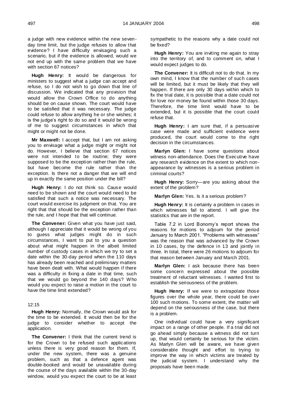a judge with new evidence within the new sevenday time limit, but the judge refuses to allow that evidence? I have difficulty envisaging such a scenario, but if the evidence is allowed, would we not end up with the same problem that we have with section 67 notices?

**Hugh Henry:** It would be dangerous for ministers to suggest what a judge can accept and refuse, so I do not wish to go down that line of discussion. We indicated that any provision that would allow the Crown Office to do anything should be on cause shown. The court would have to be satisfied that it was necessary. The judge could refuse to allow anything he or she wishes; it is the judge's right to do so and it would be wrong of me to suggest circumstances in which that might or might not be done.

**Mr Maxwell:** I accept that, but I am not asking you to envisage what a judge might or might not do. However, I believe that section 67 notices were not intended to be routine; they were supposed to be the exception rather than the rule, but have become the rule rather than the exception. Is there not a danger that we will end up in exactly the same position under the bill?

Hugh Henry: I do not think so. Cause would need to be shown and the court would need to be satisfied that such a notice was necessary. The court would exercise its judgment on that. You are right that that should be the exception rather than the rule, and I hope that that will continue.

**The Convener:** Given what you have just said, although I appreciate that it would be wrong of you to guess what judges might do in such circumstances, I want to put to you a question about what might happen in the albeit limited number of custody cases in which we try to set a date within the 30-day period when the 110 days has already been reached and preliminary matters have been dealt with. What would happen if there was a difficulty in fixing a date in that time, such that we would go beyond the 140 days? Who would you expect to raise a motion in the court to have the time limit extended?

# 12:15

**Hugh Henry:** Normally, the Crown would ask for the time to be extended. It would then be for the judge to consider whether to accept the application.

**The Convener:** I think that the current trend is for the Crown to be refused such applications unless there is very good reason for them. If, under the new system, there was a genuine problem, such as that a defence agent was double-booked and would be unavailable during the course of the days available within the 30-day window, would you expect the court to be at least

sympathetic to the reasons why a date could not be fixed?

**Hugh Henry:** You are inviting me again to stray into the territory of, and to comment on, what I would expect judges to do.

**The Convener:** It is difficult not to do that. In my own mind, I know that the number of such cases will be limited, but it must be likely that they will happen. If there are only 30 days within which to fix the trial date, it is possible that a date could not for love nor money be found within those 30 days. Therefore, the time limit would have to be extended, but it is possible that the court could refuse that.

**Hugh Henry:** I am sure that, if a persuasive case were made and sufficient evidence were produced, the court would come to the right decision in the circumstances.

**Marlyn Glen:** I have some questions about witness non-attendance. Does the Executive have any research evidence on the extent to which nonappearance by witnesses is a serious problem in criminal courts?

**Hugh Henry:** Sorry—are you asking about the extent of the problem?

**Marlyn Glen:** Yes. Is it a serious problem?

**Hugh Henry:** It is certainly a problem in cases in which witnesses fail to attend. I will give the statistics that are in the report.

Table 7.2 in Lord Bonomy's report shows the reasons for motions to adjourn for the period January to March 2001. "Problems with witnesses" was the reason that was advanced by the Crown in 10 cases, by the defence in 13 and jointly in three. In total, there were 26 motions to adjourn for that reason between January and March 2001.

**Marlyn Glen:** I ask because there has been some concern expressed about the possible treatment of reluctant witnesses. I wanted first to establish the seriousness of the problem.

**Hugh Henry:** If we were to extrapolate those figures over the whole year, there could be over 100 such motions. To some extent, the matter will depend on the seriousness of the case, but there is a problem.

One individual could have a very significant impact on a range of other people. If a trial did not go ahead simply because a witness did not turn up, that would certainly be serious for the victim. As Marlyn Glen will be aware, we have given considerable thought and effort to trying to improve the way in which victims are treated by the judicial system. I understand why the proposals have been made.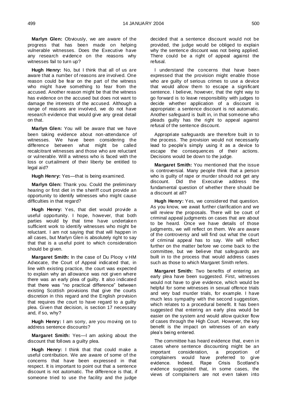**Marlyn Glen:** Obviously, we are aware of the progress that has been made on helping vulnerable witnesses. Does the Executive have any research evidence on the reasons why witnesses fail to turn up?

**Hugh Henry:** No, but I think that all of us are aware that a number of reasons are involved. One reason could be fear on the part of the witness who might have something to fear from the accused. Another reason might be that the witness has evidence on the accused but does not want to damage the interests of the accused. Although a range of reasons are involved, we do not have research evidence that would give any great detail on that.

**Marlyn Glen:** You will be aware that we have been taking evidence about non-attendance of witnesses. We have been considering the difference between what might be called recalcitrant witnesses and those who are reluctant or vulnerable. Will a witness who is faced with the loss or curtailment of their liberty be entitled to legal aid?

**Hugh Henry:** Yes—that is being examined.

**Marlyn Glen:** Thank you. Could the preliminary hearing or first diet in the sheriff court provide an opportunity to identify witnesses who might cause difficulties in that regard?

**Hugh Henry:** Yes, that diet would provide a useful opportunity. I hope, however, that both parties would by that time have undertaken sufficient work to identify witnesses who might be reluctant. I am not saying that that will happen in all cases, but Marlyn Glen is absolutely right to say that that is a useful point to which consideration should be given.

**Margaret Smith:** In the case of Du Plooy v HM Advocate, the Court of Appeal indicated that, in line with existing practice, the court was expected to explain why an allowance was not given where there was an early plea of guilty. It also indicated that there was "no practical difference" between existing Scottish provisions that give the courts discretion in this regard and the English provision that requires the court to have regard to a guilty plea. Given that decision, is section 17 necessary and, if so, why?

**Hugh Henry:** I am sorry, are you moving on to address sentence discounts?

**Margaret Smith:** Yes—I am asking about the discount that follows a guilty plea.

**Hugh Henry:** I think that that could make a useful contribution. We are aware of some of the concerns that have been expressed in that respect. It is important to point out that a sentence discount is not automatic. The difference is that, if someone tried to use the facility and the judge

decided that a sentence discount would not be provided, the judge would be obliged to explain why the sentence discount was not being applied. There could be a right of appeal against the refusal.

I understand the concerns that have been expressed that the provision might enable those who are guilty of serious crimes to use a device that would allow them to escape a significant sentence. I believe, however, that the right way to go forward is to leave responsibility with judges to decide whether application of a discount is appropriate: a sentence discount is not automatic. Another safeguard is built in, in that someone who pleads guilty has the right to appeal against refusal of the sentence discount.

Appropriate safeguards are therefore built in to the process. The provision would not necessarily lead to people's simply using it as a device to escape the consequences of their actions. Decisions would be down to the judge.

**Margaret Smith:** You mentioned that the issue is controversial. Many people think that a person who is guilty of rape or murder should not get any discount. Did the Executive address the fundamental question of whether there should be a discount at all?

**Hugh Henry:** Yes, we considered that question. As you know, we await further clarification and we will review the proposals. There will be court of criminal appeal judgments on cases that are about to be heard. Once we have details of those judgments, we will reflect on them. We are aware of the controversy and will find out what the court of criminal appeal has to say. We will reflect further on the matter before we come back to the committee, but we believe that safeguards are built in to the process that would address cases such as those to which Margaret Smith refers.

**Margaret Smith:** Two benefits of entering an early plea have been suggested. First, witnesses would not have to give evidence, which would be helpful for some witnesses in sexual offence trials and very bad murder trials, for example. I have much less sympathy with the second suggestion, which relates to a procedural benefit. It has been suggested that entering an early plea would be easier on the system and would allow quicker flow of cases through the High Court. However, the key benefit is the impact on witnesses of an early plea's being entered.

The committee has heard evidence that, even in cases where sentence discounting might be an important consideration, a proportion of complainers would have preferred to give evidence. Indeed, Rape Crisis Scotland's evidence suggested that, in some cases, the views of complainers are not even taken into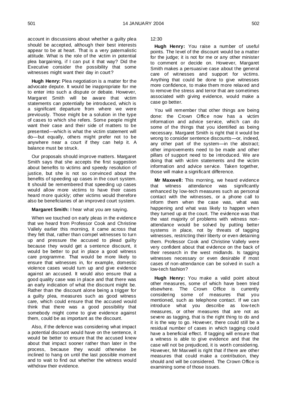account in discussions about whether a guilty plea should be accepted, although their best interests appear to be at heart. That is a very paternalistic attitude. What is the role of the victim in potential plea bargaining, if I can put it that way? Did the Executive consider the possibility that some witnesses might want their day in court?

**Hugh Henry:** Plea negotiation is a matter for the advocate depute. It would be inappropriate for me to enter into such a dispute or debate. However, Margaret Smith will be aware that victim statements can potentially be introduced, which is a significant departure from where we were previously. Those might be a solution in the type of cases to which she refers. Some people might want their case and their side of matters to be presented—which is what the victim statement will do—but equally, others might prefer not to be anywhere near a court if they can help it. A balance must be struck.

Our proposals should improve matters. Margaret Smith says that she accepts the first suggestion about benefits to victims and speedy resolution of justice, but she is not so convinced about the benefits of speeding up cases in the court system. It should be remembered that speeding up cases would allow more victims to have their cases heard more quickly; other victims would therefore also be beneficiaries of an improved court system.

**Margaret Smith:** I hear what you are saying.

When we touched on early pleas in the evidence that we heard from Professor Cook and Christine Vallely earlier this morning, it came across that they felt that, rather than compel witnesses to turn up and pressure the accused to plead guilty because they would get a sentence discount, it would be better to put in place a good witness care programme. That would be more likely to ensure that witnesses in, for example, domestic violence cases would turn up and give evidence against an accused. It would also ensure that a good quality case was in place and that there was an early indication of what the discount might be. Rather than the discount alone being a trigger for a guilty plea, measures such as good witness care, which could ensure that the accused would think that there was a good possibility that somebody might come to give evidence against them, could be as important as the discount.

Also, if the defence was considering what impact a potential discount would have on the sentence, it would be better to ensure that the accused knew about that impact sooner rather than later in the process, because they would otherwise be inclined to hang on until the last possible moment and to wait to find out whether the witness would withdraw their evidence.

12:30

**Hugh Henry:** You raise a number of useful points. The level of the discount would be a matter for the judge; it is not for me or any other minister to comment or decide on. However, Margaret Smith makes a persuasive case about the general care of witnesses and support for victims. Anything that could be done to give witnesses more confidence, to make them more relaxed and to remove the stress and terror that are sometimes associated with giving evidence, would make a case go better.

You will remember that other things are being done: the Crown Office now has a victim information and advice service, which can do some of the things that you identified as being necessary. Margaret Smith is right that it would be wrong to consider sentence discounts—or, indeed, any other part of the system—in the abstract; other improvements need to be made and other pillars of support need to be introduced. We are doing that with victim statements and the victim information and advice service. Taken together, those will make a significant difference.

**Mr Maxwell:** This morning, we heard evidence that witness attendance was significantly enhanced by low-tech measures such as personal contact with the witnesses, or a phone call to inform them when the case was, what was happening and what was likely to happen when they turned up at the court. The evidence was that the vast majority of problems with witness nonattendance would be solved by putting better systems in place, not by threats of tagging witnesses, restricting their liberty or even detaining them. Professor Cook and Christine Vallely were very confident about that evidence on the back of their research in the west midlands. Is tagging witnesses necessary or even desirable if most cases of non-attendance can be solved in such a low-tech fashion?

**Hugh Henry:** You make a valid point about other measures, some of which have been tried elsewhere. The Crown Office is currently considering some of measures that you mentioned, such as telephone contact. If we can introduce what you describe as low-tech measures, or other measures that are not as severe as tagging, that is the right thing to do and it is the way to go. However, there could still be a residual number of cases in which tagging could have a beneficial effect. If tagging will ensure that a witness is able to give evidence and that the case will not be prejudiced, it is worth considering. However, Mr Maxwell is right that if there are other measures that could make a contribution, they should and will be considered. The Crown Office is examining some of those issues.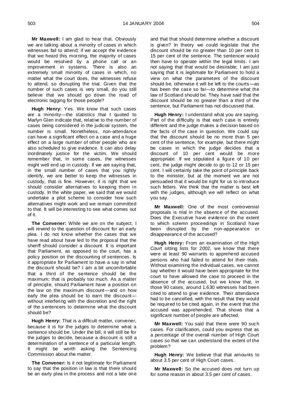**Mr Maxwell:** I am glad to hear that. Obviously we are talking about a minority of cases in which witnesses fail to attend; if we accept the evidence that we heard this morning, the majority of cases would be resolved by a phone call or an improvement in systems. There is also an extremely small minority of cases in which, no matter what the court does, the witnesses refuse to attend, so disrupting the trial. Given that the number of such cases is very small, do you still believe that we should go down the road of electronic tagging for those people?

**Hugh Henry:** Yes. We know that such cases are a minority—the statistics that I quoted to Marlyn Glen indicate that, relative to the number of cases being considered in the judicial system, the number is small. Nonetheless, non-attendance can have a significant effect on a case and a huge effect on a large number of other people who are also scheduled to give evidence. It can also delay inordinately justice for the victim. We should remember that, in some cases, the witnesses might well end up in custody. If we are saying that, in the small number of cases that you rightly identify, we are better to keep the witnesses in custody, that is fine. However, it is right that we should consider alternatives to keeping them in custody. In the white paper, we said that we would undertake a pilot scheme to consider how such alternatives might work and we remain committed to that. It will be interesting to see what comes out of it.

**The Convener:** While we are on the subject, I will rewind to the question of discount for an early plea. I do not know whether the cases that we have read about have led to the proposal that the sheriff should consider a discount. It is important that Parliament, as opposed to the court, has a policy position on the discounting of sentences. Is it appropriate for Parliament to have a say in what the discount should be? I am a bit uncomfortable that a third of the sentence should be the maximum; that is probably too much. As a matter of principle, should Parliament have a position on the law on the maximum discount—and on how early the plea should be to earn the discount without interfering with the discretion and the right of the sentencers to determine what the discount should be?

**Hugh Henry:** That is a difficult matter, convener, because it is for the judges to determine what a sentence should be. Under the bill, it will still be for the judges to decide, because a discount is still a determination of a sentence of a particular length. It might be worth asking the Sentencing Commission about the matter.

**The Convener:** Is it not legitimate for Parliament to say that the position in law is that there should be an early plea in the process and not a late one and that that should determine whether a discount is given? In theory we could legislate that the discount should be no greater than 10 per cent to 15 per cent of the sentence. The sentencer would then have to operate within the legal limits. I am not saying that that would be desirable; I am just saying that it is legitimate for Parliament to hold a view on what the parameters of the discount should be, otherwise it will be left to the courts—as has been the case so far—to determine what the law of Scotland should be. They have said that the discount should be no greater than a third of the sentence, but Parliament has not discussed that.

**Hugh Henry:** I understand what you are saying. Part of the difficulty is that each case is entirely different and the judge makes a decision based on the facts of the case in question. We could say that the discount should be no more than 5 per cent of the sentence, for example, but there might be cases in which the judge decides that a discount of 10 per cent would be more appropriate. If we stipulated a figure of 10 per cent, the judge might decide to go to 12 or 15 per cent. I will certainly take the point of principle back to the minister, but at the moment we are not persuaded that it would be right for us to introduce such fetters. We think that the matter is best left with the judges, although we will reflect on what you say.

**Mr Maxwell:** One of the most controversial proposals is trial in the absence of the accused. Does the Executive have evidence on the extent to which solemn proceedings in Scotland have been disrupted by the non-appearance or disappearance of the accused?

**Hugh Henry:** From an examination of the High Court sitting lists for 2002, we know that there were at least 90 warrants to apprehend accused persons who had failed to attend for their trials. Without examining the individual cases, we cannot say whether it would have been appropriate for the court to have allowed the case to proceed in the absence of the accused, but we know that, in those 90 cases, around 1,630 witnesses had been cited to attend to give evidence. Their attendance had to be cancelled, with the result that they would be required to be cited again, in the event that the accused was apprehended. That shows that a significant number of people are affected.

**Mr Maxwell:** You said that there were 90 such cases. For clarification, could you express that as a percentage of the overall number of High Court cases so that we can understand the extent of the problem?

**Hugh Henry:** We believe that that amounts to about 3.5 per cent of High Court cases.

**Mr Maxwell:** So the accused does not turn up for some reason in about 3.5 per cent of cases.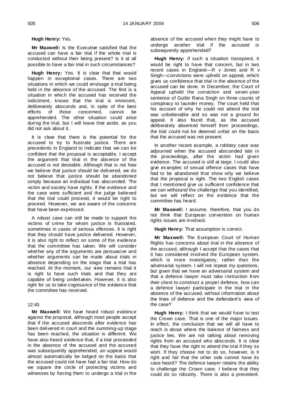#### **Hugh Henry:** Yes.

**Mr Maxwell:** Is the Executive satisfied that the accused can have a fair trial if the whole trial is conducted without their being present? Is it at all possible to have a fair trial in such circumstances?

**Hugh Henry:** Yes. It is clear that that would happen in exceptional cases. There are two situations in which we could envisage a trial being held in the absence of the accused. The first is a situation in which the accused has received the indictment, knows that the trial is imminent, deliberately absconds and, in spite of the best efforts of those concerned, cannot be apprehended. The other situation could arise during the trial, but I will leave that aside, as you did not ask about it.

It is clear that there is the potential for the accused to try to frustrate justice. There are precedents in England to indicate that we can be confident that the proposal is acceptable. I accept the argument that trial in the absence of the accused is not desirable. Although that is not how we believe that justice should be delivered, we do not believe that justice should be abandoned simply because an individual has absconded. The victim and society have rights. If the evidence and the case were sufficient and the judge believed that the trial could proceed, it would be right to proceed. However, we are aware of the concerns that have been expressed.

A robust case can still be made to support the victims of crime for whom justice is frustrated, sometimes in cases of serious offences. It is right that they should have justice delivered. However, it is also right to reflect on some of the evidence that the committee has taken. We will consider whether any of the arguments are persuasive and whether arguments can be made about trials in absence depending on the stage that a trial has reached. At the moment, our view remains that it is right to have such trials and that they are capable of being undertaken. However, it is also right for us to take cognisance of the evidence that the committee has received.

# 12:45

**Mr Maxwell:** We have heard robust evidence against the proposal, although most people accept that if the accused absconds after evidence has been delivered in court and the summing-up stage has been reached, the situation is different. We have also heard evidence that, if a trial proceeded in the absence of the accused and the accused was subsequently apprehended, an appeal would almost automatically be lodged on the basis that the accused could not have had a fair trial. How do we square the circle of protecting victims and witnesses by forcing them to undergo a trial in the

absence of the accused when they might have to undergo another trial if the accused is subsequently apprehended?

**Hugh Henry:** If such a situation transpired, it would be right to have that concern, but in two recent cases in England—R v Jones and R v Singh—convictions were upheld on appeal, which gives us confidence that trial in the absence of the accused can be done. In December, the Court of Appeal upheld the conviction and seven-year sentence of Gulbir Rana Singh on three counts of conspiracy to launder money. The court held that his account of why he could not attend the trial was unbelievable and so was not a ground for appeal. It also found that, as the accused deliberately absented himself from proceedings, the trial could not be deemed unfair on the basis that the accused was not present.

In another recent example, a robbery case was adjourned when the accused absconded late in the proceedings, after the victim had given evidence. The accused is still at large. I could also give examples of sexual offence cases that have had to be abandoned that show why we believe that the proposal is right. The two English cases that I mentioned give us sufficient confidence that we can withstand the challenge that you identified, but we will reflect on the evidence that the committee has heard.

**Mr Maxwell:** I assume, therefore, that you do not think that European convention on human rights issues are involved.

**Hugh Henry:** That assumption is correct.

**Mr Maxwell:** The European Court of Human Rights has concerns about trial in the absence of the accused, although I accept that the cases that it has considered involved the European system, which is more investigatory, rather than the adversarial system. I will not repeat my questions, but given that we have an adversarial system and that a defence lawyer must take instruction from their client to construct a proper defence, how can a defence lawyer participate in the trial in the absence of the accused, without information about the lines of defence and the defendant's view of the case?

**Hugh Henry:** I think that we would have to test the Crown case. That is one of the major issues. In effect, the conclusion that we will all have to reach is about where the balance of fairness and justice lies. We are not talking about removing rights from an accused who absconds. It is clear that they have the right to attend the trial if they so wish. If they choose not to do so, however, is it right and fair that the other side cannot have its case heard? The defence lawyer retains the ability to challenge the Crown case. I believe that they could do so robustly. There is also a precedent: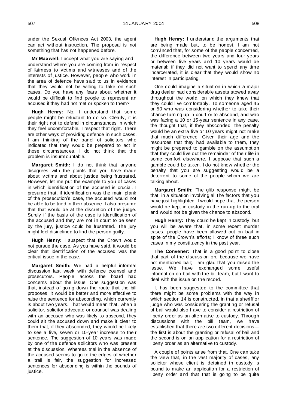under the Sexual Offences Act 2003, the agent can act without instruction. The proposal is not something that has not happened before.

**Mr Maxwell:** I accept what you are saying and I understand where you are coming from in respect of fairness to victims and witnesses and of the interests of justice. However, people who work in the area of defence have said to us in evidence that they would not be willing to take on such cases. Do you have any fears about whether it would be difficult to find people to represent an accused if they had not met or spoken to them?

**Hugh Henry:** No. I understand that some people might be reluctant to do so. Clearly, it is their right not to defend in circumstances in which they feel uncomfortable. I respect that right. There are other ways of providing defence in such cases. I am thinking of the panel of solicitors who indicated that they would be prepared to act in those circumstances. I do not think that the problem is insurmountable.

**Margaret Smith:** I do not think that anyone disagrees with the points that you have made about victims and about justice being frustrated. However, let me put the example to you of cases in which identification of the accused is crucial. I presume that, if identification was the main plank of the prosecution's case, the accused would not be able to be tried in their absence. I also presume that that would be at the discretion of the judge. Surely if the basis of the case is identification of the accused and they are not in court to be seen by the jury, justice could be frustrated. The jury might feel disinclined to find the person guilty.

**Hugh Henry:** I suspect that the Crown would not pursue the case. As you have said, it would be clear that identification of the accused was the critical issue in the case.

**Margaret Smith:** We had a helpful informal discussion last week with defence counsel and prosecutors. People across the board had concerns about the issue. One suggestion was that, instead of going down the route that the bill proposes, it would be better and more effective to raise the sentence for absconding, which currently is about two years. That would mean that, when a solicitor, solicitor advocate or counsel was dealing with an accused who was likely to abscond, they could sit the accused down and make it clear to them that, if they absconded, they would be likely to see a five, seven or 10-year increase to their sentence. The suggestion of 10 years was made by one of the defence solicitors who was present at the discussion. Whereas trial in the absence of the accused seems to go to the edges of whether a trail is fair, the suggestion for increased sentences for absconding is within the bounds of justice.

**Hugh Henry:** I understand the arguments that are being made but, to be honest, I am not convinced that, for some of the people concerned, the difference between two years and four years or between five years and 10 years would be material; if they did not want to spend any time incarcerated, it is clear that they would show no interest in participating.

One could imagine a situation in which a major drug dealer had considerable assets stowed away throughout the world, on which they knew that they could live comfortably. To someone aged 45 or 50 who was considering whether to take their chance turning up in court or to abscond, and who was facing a 10 or 15-year sentence in any case, the thought that, if they absconded, the penalty would be an extra five or 10 years might not make that much difference. Given their age and the resources that they had available to them, they might be prepared to gamble on the assumption that they could live out the remainder of their life in some comfort elsewhere. I suppose that such a gamble could be taken. I do not know whether the penalty that you are suggesting would be a deterrent to some of the people whom we are talking about.

**Margaret Smith:** The glib response might be that, in a situation involving all the factors that you have just highlighted, I would hope that the person would be kept in custody in the run-up to the trial and would not be given the chance to abscond.

**Hugh Henry:** They could be kept in custody, but you will be aware that, in some recent murder cases, people have been allowed out on bail in spite of the Crown's efforts; I know of three such cases in my constituency in the past year.

**The Convener:** That is a good point to close that part of the discussion on, because we have not mentioned bail; I am glad that you raised the issue. We have exchanged some useful information on bail with the bill team, but I want to deal with the issue on the record.

It has been suggested to the committee that there might be some problems with the way in which section 14 is constructed, in that a sheriff or judge who was considering the granting or refusal of bail would also have to consider a restriction of liberty order as an alternative to custody. Through discussions with the bill team, we have established that there are two different decisions the first is about the granting or refusal of bail and the second is on an application for a restriction of liberty order as an alternative to custody.

A couple of points arise from that. One can take the view that, in the vast majority of cases, any solicitor whose client is detained in custody is bound to make an application for a restriction of liberty order and that that is going to be quite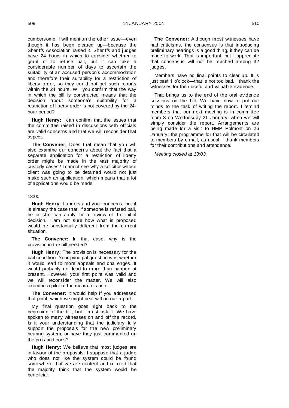cumbersome. I will mention the other issue—even though it has been cleared up—because the Sheriffs Association raised it. Sheriffs and judges have 24 hours in which to consider whether to grant or to refuse bail, but it can take a considerable number of days to ascertain the suitability of an accused person's accommodation and therefore their suitability for a restriction of liberty order, so they could not get such reports within the 24 hours. Will you confirm that the way in which the bill is constructed means that the decision about someone's suitability for a restriction of liberty order is not covered by the 24 hour period?

**Hugh Henry:** I can confirm that the issues that the committee raised in discussions with officials are valid concerns and that we will reconsider that aspect.

**The Convener:** Does that mean that you will also examine our concerns about the fact that a separate application for a restriction of liberty order might be made in the vast majority of custody cases? I cannot see why a solicitor whose client was going to be detained would not just make such an application, which means that a lot of applications would be made.

# 13:00

**Hugh Henry:** I understand your concerns, but it is already the case that, if someone is refused bail, he or she can apply for a review of the initial decision. I am not sure how what is proposed would be substantially different from the current situation.

**The Convener:** In that case, why is the provision in the bill needed?

**Hugh Henry:** The provision is necessary for the bail condition. Your principal question was whether it would lead to more appeals and challenges. It would probably not lead to more than happen at present. However, your first point was valid and we will reconsider the matter. We will also examine a pilot of the measure's use.

**The Convener:** It would help if you addressed that point, which we might deal with in our report.

My final question goes right back to the beginning of the bill, but I must ask it. We have spoken to many witnesses on and off the record. Is it your understanding that the judiciary fully support the proposals for the new preliminary hearing system, or have they just commented on the pros and cons?

**Hugh Henry:** We believe that most judges are in favour of the proposals. I suppose that a judge who does not like the system could be found somewhere, but we are content and relaxed that the majority think that the system would be beneficial.

**The Convener:** Although most witnesses have had criticisms, the consensus is that introducing preliminary hearings is a good thing, if they can be made to work. That is important, but I appreciate that consensus will not be reached among 32 judges.

Members have no final points to clear up. It is just past 1 o'clock—that is not too bad. I thank the witnesses for their useful and valuable evidence.

That brings us to the end of the oral evidence sessions on the bill. We have now to put our minds to the task of writing the report. I remind members that our next meeting is in committee room 3 on Wednesday 21 January, when we will simply consider the report. Arrangements are being made for a visit to HMP Polmont on 26 January; the programme for that will be circulated to members by e-mail, as usual. I thank members for their contributions and attendance.

*Meeting closed at 13:03.*